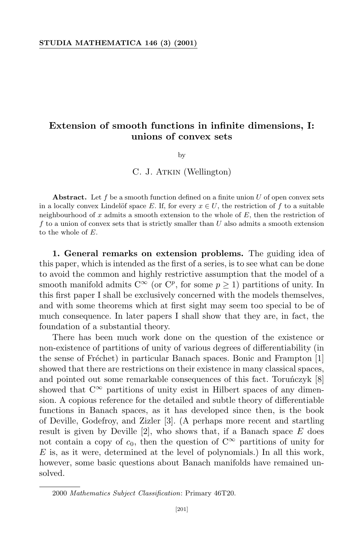# **Extension of smooth functions in infinite dimensions, I: unions of convex sets**

by

C. J. ATKIN (Wellington)

**Abstract.** Let *f* be a smooth function defined on a finite union *U* of open convex sets in a locally convex Lindelöf space *E*. If, for every  $x \in U$ , the restriction of f to a suitable neighbourhood of *x* admits a smooth extension to the whole of *E*, then the restriction of *f* to a union of convex sets that is strictly smaller than *U* also admits a smooth extension to the whole of *E*.

**1. General remarks on extension problems.** The guiding idea of this paper, which is intended as the first of a series, is to see what can be done to avoid the common and highly restrictive assumption that the model of a smooth manifold admits  $C^{\infty}$  (or  $C^p$ , for some  $p \ge 1$ ) partitions of unity. In this first paper I shall be exclusively concerned with the models themselves, and with some theorems which at first sight may seem too special to be of much consequence. In later papers I shall show that they are, in fact, the foundation of a substantial theory.

There has been much work done on the question of the existence or non-existence of partitions of unity of various degrees of differentiability (in the sense of Fréchet) in particular Banach spaces. Bonic and Frampton  $[1]$ showed that there are restrictions on their existence in many classical spaces, and pointed out some remarkable consequences of this fact. Toruńczyk [8] showed that  $C^{\infty}$  partitions of unity exist in Hilbert spaces of any dimension. A copious reference for the detailed and subtle theory of differentiable functions in Banach spaces, as it has developed since then, is the book of Deville, Godefroy, and Zizler [3]. (A perhaps more recent and startling result is given by Deville [2], who shows that, if a Banach space *E* does not contain a copy of  $c_0$ , then the question of  $C^{\infty}$  partitions of unity for *E* is, as it were, determined at the level of polynomials.) In all this work, however, some basic questions about Banach manifolds have remained unsolved.

<sup>2000</sup> *Mathematics Subject Classification*: Primary 46T20.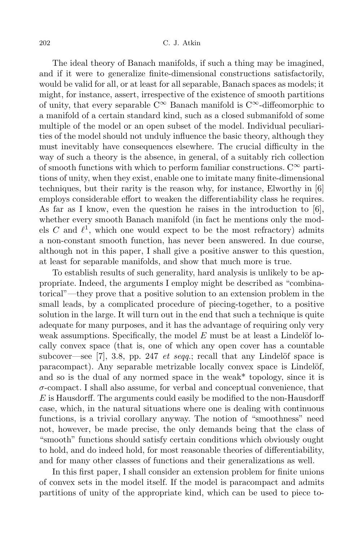The ideal theory of Banach manifolds, if such a thing may be imagined, and if it were to generalize finite-dimensional constructions satisfactorily, would be valid for all, or at least for all separable, Banach spaces as models; it might, for instance, assert, irrespective of the existence of smooth partitions of unity, that every separable  $C^{\infty}$  Banach manifold is  $C^{\infty}$ -diffeomorphic to a manifold of a certain standard kind, such as a closed submanifold of some multiple of the model or an open subset of the model. Individual peculiarities of the model should not unduly influence the basic theory, although they must inevitably have consequences elsewhere. The crucial difficulty in the way of such a theory is the absence, in general, of a suitably rich collection of smooth functions with which to perform familiar constructions.  $C^{\infty}$  partitions of unity, when they exist, enable one to imitate many finite-dimensional techniques, but their rarity is the reason why, for instance, Elworthy in [6] employs considerable effort to weaken the differentiability class he requires. As far as I know, even the question he raises in the introduction to  $[6]$ , whether every smooth Banach manifold (in fact he mentions only the models  $C$  and  $\ell^1$ , which one would expect to be the most refractory) admits a non-constant smooth function, has never been answered. In due course, although not in this paper, I shall give a positive answer to this question, at least for separable manifolds, and show that much more is true.

To establish results of such generality, hard analysis is unlikely to be appropriate. Indeed, the arguments I employ might be described as "combinatorical"—they prove that a positive solution to an extension problem in the small leads, by a complicated procedure of piecing-together, to a positive solution in the large. It will turn out in the end that such a technique is quite adequate for many purposes, and it has the advantage of requiring only very weak assumptions. Specifically, the model  $E$  must be at least a Lindelöf locally convex space (that is, one of which any open cover has a countable subcover—see [7], 3.8, pp. 247 *et seqq.*; recall that any Lindelöf space is paracompact). Any separable metrizable locally convex space is Lindelöf, and so is the dual of any normed space in the weak\* topology, since it is *σ*-compact. I shall also assume, for verbal and conceptual convenience, that *E* is Hausdorff. The arguments could easily be modified to the non-Hausdorff case, which, in the natural situations where one is dealing with continuous functions, is a trivial corollary anyway. The notion of "smoothness" need not, however, be made precise, the only demands being that the class of "smooth" functions should satisfy certain conditions which obviously ought to hold, and do indeed hold, for most reasonable theories of differentiability, and for many other classes of functions and their generalizations as well.

In this first paper, I shall consider an extension problem for finite unions of convex sets in the model itself. If the model is paracompact and admits partitions of unity of the appropriate kind, which can be used to piece to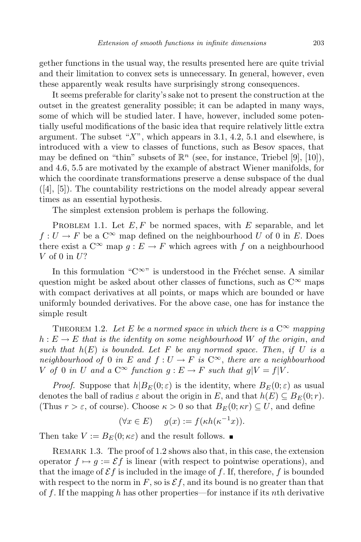gether functions in the usual way, the results presented here are quite trivial and their limitation to convex sets is unnecessary. In general, however, even these apparently weak results have surprisingly strong consequences.

It seems preferable for clarity's sake not to present the construction at the outset in the greatest generality possible; it can be adapted in many ways, some of which will be studied later. I have, however, included some potentially useful modifications of the basic idea that require relatively little extra argument. The subset "*X*", which appears in 3.1, 4.2, 5.1 and elsewhere, is introduced with a view to classes of functions, such as Besov spaces, that may be defined on "thin" subsets of  $\mathbb{R}^n$  (see, for instance, Triebel [9], [10]), and 4.6, 5.5 are motivated by the example of abstract Wiener manifolds, for which the coordinate transformations preserve a dense subspace of the dual ([4], [5]). The countability restrictions on the model already appear several times as an essential hypothesis.

The simplest extension problem is perhaps the following.

PROBLEM 1.1. Let  $E, F$  be normed spaces, with  $E$  separable, and let  $f: U \to F$  be a  $C^{\infty}$  map defined on the neighbourhood *U* of 0 in *E*. Does there exist a  $C^{\infty}$  map  $g : E \to F$  which agrees with f on a neighbourhood *V* of 0 in *U*?

In this formulation " $C^{\infty}$ " is understood in the Fréchet sense. A similar question might be asked about other classes of functions, such as  $C^{\infty}$  maps with compact derivatives at all points, or maps which are bounded or have uniformly bounded derivatives. For the above case, one has for instance the simple result

THEOREM 1.2. Let E be a normed space in which there is a  $C^{\infty}$  mapping  $h: E \to E$  *that is the identity on some neighbourhood W of the origin, and such that*  $h(E)$  *is bounded.* Let  $F$  *be any normed space.* Then, *if*  $U$  *is*  $a$ *neighbourhood of* 0 *in E and*  $f: U \to F$  *is*  $C^{\infty}$ *, there are a neighbourhood V* of 0 *in U* and a  $C^{\infty}$  *function*  $g: E \to F$  *such that*  $g|V = f|V$ .

*Proof.* Suppose that  $h|B_E(0;\varepsilon)$  is the identity, where  $B_E(0;\varepsilon)$  as usual denotes the ball of radius  $\varepsilon$  about the origin in *E*, and that  $h(E) \subseteq B_E(0; r)$ . (Thus  $r > \varepsilon$ , of course). Choose  $\kappa > 0$  so that  $B_E(0; \kappa r) \subseteq U$ , and define

$$
(\forall x \in E) \quad g(x) := f(\kappa h(\kappa^{-1}x)).
$$

Then take  $V := B_E(0; \kappa \varepsilon)$  and the result follows.

REMARK 1.3. The proof of 1.2 shows also that, in this case, the extension operator  $f \mapsto g := \mathcal{E} f$  is linear (with respect to pointwise operations), and that the image of  $\mathcal{E}f$  is included in the image of f. If, therefore, f is bounded with respect to the norm in  $F$ , so is  $\mathcal{E}f$ , and its bound is no greater than that of *f*. If the mapping *h* has other properties—for instance if its *n*th derivative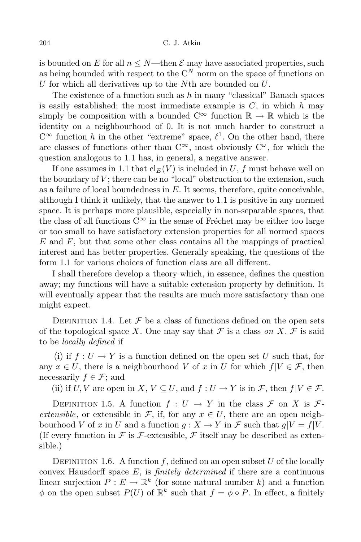is bounded on *E* for all  $n \leq N$ —then  $\mathcal E$  may have associated properties, such as being bounded with respect to the  $C^N$  norm on the space of functions on *U* for which all derivatives up to the *N*th are bounded on *U*.

The existence of a function such as *h* in many "classical" Banach spaces is easily established; the most immediate example is *C*, in which *h* may simply be composition with a bounded  $C^{\infty}$  function  $\mathbb{R} \to \mathbb{R}$  which is the identity on a neighbourhood of 0. It is not much harder to construct a  $C^{\infty}$  function *h* in the other "extreme" space,  $\ell^1$ . On the other hand, there are classes of functions other than  $C^{\infty}$ , most obviously  $C^{\omega}$ , for which the question analogous to 1.1 has, in general, a negative answer.

If one assumes in 1.1 that  $\text{cl}_{E}(V)$  is included in *U*, *f* must behave well on the boundary of  $V$ ; there can be no "local" obstruction to the extension, such as a failure of local boundedness in *E*. It seems, therefore, quite conceivable, although I think it unlikely, that the answer to 1.1 is positive in any normed space. It is perhaps more plausible, especially in non-separable spaces, that the class of all functions  $C^{\infty}$  in the sense of Fréchet may be either too large or too small to have satisfactory extension properties for all normed spaces *E* and *F*, but that some other class contains all the mappings of practical interest and has better properties. Generally speaking, the questions of the form 1.1 for various choices of function class are all different.

I shall therefore develop a theory which, in essence, defines the question away; my functions will have a suitable extension property by definition. It will eventually appear that the results are much more satisfactory than one might expect.

DEFINITION 1.4. Let  $\mathcal F$  be a class of functions defined on the open sets of the topological space *X*. One may say that  $\mathcal F$  is a class on *X*.  $\mathcal F$  is said to be *locally defined* if

(i) if  $f: U \to Y$  is a function defined on the open set *U* such that, for any  $x \in U$ , there is a neighbourhood *V* of *x* in *U* for which  $f|V \in \mathcal{F}$ , then necessarily  $f \in \mathcal{F}$ ; and

(ii) if  $U, V$  are open in  $X, V \subseteq U$ , and  $f: U \to Y$  is in  $\mathcal{F}$ , then  $f|V \in \mathcal{F}$ .

DEFINITION 1.5. A function  $f: U \to Y$  in the class  $\mathcal F$  on  $X$  is  $\mathcal F$ *extensible*, or extensible in  $\mathcal{F}$ , if, for any  $x \in U$ , there are an open neighbourhood *V* of *x* in *U* and a function  $q: X \to Y$  in *F* such that  $q|V = f|V$ . (If every function in  $\mathcal F$  is  $\mathcal F$ -extensible,  $\mathcal F$  itself may be described as extensible.)

DEFINITION 1.6. A function  $f$ , defined on an open subset  $U$  of the locally convex Hausdorff space *E*, is *finitely determined* if there are a continuous linear surjection  $P: E \to \mathbb{R}^k$  (for some natural number *k*) and a function  $\phi$  on the open subset  $P(U)$  of  $\mathbb{R}^k$  such that  $f = \phi \circ P$ . In effect, a finitely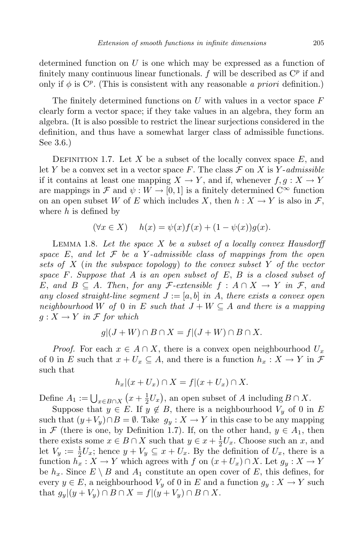determined function on *U* is one which may be expressed as a function of finitely many continuous linear functionals.  $f$  will be described as  $C^p$  if and only if  $\phi$  is C<sup>p</sup>. (This is consistent with any reasonable *a priori* definition.)

The finitely determined functions on *U* with values in a vector space *F* clearly form a vector space; if they take values in an algebra, they form an algebra. (It is also possible to restrict the linear surjections considered in the definition, and thus have a somewhat larger class of admissible functions. See 3.6.)

DEFINITION 1.7. Let *X* be a subset of the locally convex space  $E$ , and let *Y* be a convex set in a vector space *F*. The class  $\mathcal F$  on *X* is *Y*-*admissible* if it contains at least one mapping  $X \to Y$ , and if, whenever  $f, g: X \to Y$ are mappings in  $\mathcal F$  and  $\psi : W \to [0,1]$  is a finitely determined  $C^{\infty}$  function on an open subset *W* of *E* which includes *X*, then  $h: X \to Y$  is also in *F*, where *h* is defined by

$$
(\forall x \in X) \quad h(x) = \psi(x)f(x) + (1 - \psi(x))g(x).
$$

Lemma 1.8. *Let the space X be a subset of a locally convex Hausdorff space E*, *and let F be a Y -admissible class of mappings from the open sets of X* (*in the subspace topology*) *to the convex subset Y of the vector space F. Suppose that A is an open subset of E*, *B is a closed subset of E*, and  $B \subseteq A$ *. Then, for any F*-extensible  $f : A \cap X \rightarrow Y$  *in F*, and *any closed straight-line segment*  $J := [a, b]$  *in*  $A$ , *there exists a convex open neighbourhood W of* 0 *in E such that*  $J + W \subseteq A$  *and there is a mapping*  $g: X \to Y$  *in*  $\mathcal F$  *for which* 

$$
g|(J+W)\cap B\cap X=f|(J+W)\cap B\cap X.
$$

*Proof.* For each  $x \in A \cap X$ , there is a convex open neighbourhood  $U_x$ of 0 in *E* such that  $x + U_x \subseteq A$ , and there is a function  $h_x : X \to Y$  in  $\mathcal F$ such that

$$
h_x|(x+U_x)\cap X=f|(x+U_x)\cap X.
$$

Define  $A_1 := \bigcup_{x \in B \cap X} (x + \frac{1}{2})$  $\frac{1}{2}U_x$ , an open subset of *A* including  $B \cap X$ .

Suppose that  $y \in E$ . If  $y \notin B$ , there is a neighbourhood  $V_y$  of 0 in  $E$ such that  $(y+V_y) \cap B = \emptyset$ . Take  $g_y : X \to Y$  in this case to be any mapping in *F* (there is one, by Definition 1.7). If, on the other hand,  $y \in A_1$ , then there exists some  $x \in B \cap X$  such that  $y \in x + \frac{1}{2}U_x$ . Choose such an *x*, and let  $V_y := \frac{1}{2}U_x$ ; hence  $y + V_y \subseteq x + U_x$ . By the definition of  $U_x$ , there is a function  $h_x: X \to Y$  which agrees with  $f$  on  $(x+U_x) \cap X$ . Let  $g_y: X \to Y$ be  $h_x$ . Since  $E \setminus B$  and  $A_1$  constitute an open cover of  $E$ , this defines, for every  $y \in E$ , a neighbourhood  $V_y$  of 0 in *E* and a function  $g_y : X \to Y$  such that  $g_y|(y+V_y) \cap B \cap X = f|(y+V_y) \cap B \cap X$ .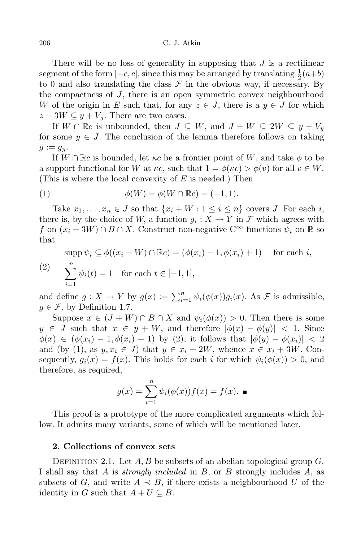There will be no loss of generality in supposing that *J* is a rectilinear segment of the form  $[-c, c]$ , since this may be arranged by translating  $\frac{1}{2}(a+b)$ to 0 and also translating the class  $\mathcal F$  in the obvious way, if necessary. By the compactness of *J*, there is an open symmetric convex neighbourhood *W* of the origin in *E* such that, for any  $z \in J$ , there is a  $y \in J$  for which  $z + 3W \subseteq y + V_y$ . There are two cases.

If  $W \cap \mathbb{R}c$  is unbounded, then  $J \subseteq W$ , and  $J + W \subseteq 2W \subseteq y + V_y$ for some  $y \in J$ . The conclusion of the lemma therefore follows on taking  $g := g_y$ .

If  $W \cap \mathbb{R}c$  is bounded, let  $\kappa c$  be a frontier point of W, and take  $\phi$  to be a support functional for *W* at  $\kappa c$ , such that  $1 = \phi(\kappa c) > \phi(v)$  for all  $v \in W$ . (This is where the local convexity of *E* is needed.) Then

(1) 
$$
\phi(W) = \phi(W \cap \mathbb{R}c) = (-1, 1).
$$

Take  $x_1, \ldots, x_n \in J$  so that  $\{x_i + W : 1 \leq i \leq n\}$  covers *J*. For each *i*, there is, by the choice of *W*, a function  $g_i: X \to Y$  in  $\mathcal F$  which agrees with *f* on  $(x_i + 3W) ∩ B ∩ X$ . Construct non-negative C<sup>∞</sup> functions  $\psi_i$  on R so that

$$
\text{supp}\,\psi_i \subseteq \phi((x_i + W) \cap \mathbb{R}c) = (\phi(x_i) - 1, \phi(x_i) + 1) \quad \text{for each } i,
$$
\n
$$
\sum_{i=1}^n \psi_i(t) = 1 \quad \text{for each } t \in [-1, 1],
$$

and define  $g: X \to Y$  by  $g(x) := \sum_{i=1}^n \psi_i(\phi(x))g_i(x)$ . As  $\mathcal F$  is admissible,  $q \in \mathcal{F}$ , by Definition 1.7.

Suppose  $x \in (J+W) \cap B \cap X$  and  $\psi_i(\phi(x)) > 0$ . Then there is some  $y \in J$  such that  $x \in y + W$ , and therefore  $|\phi(x) - \phi(y)| < 1$ . Since  $\phi(x) \in (\phi(x_i) - 1, \phi(x_i) + 1)$  by (2), it follows that  $|\phi(y) - \phi(x_i)| < 2$ and (by (1), as  $y, x_i \in J$ ) that  $y \in x_i + 2W$ , whence  $x \in x_i + 3W$ . Consequently,  $g_i(x) = f(x)$ . This holds for each *i* for which  $\psi_i(\phi(x)) > 0$ , and therefore, as required,

$$
g(x) = \sum_{i=1}^{n} \psi_i(\phi(x)) f(x) = f(x). \blacksquare
$$

This proof is a prototype of the more complicated arguments which follow. It admits many variants, some of which will be mentioned later.

## **2. Collections of convex sets**

DEFINITION 2.1. Let *A*, *B* be subsets of an abelian topological group *G*. I shall say that *A* is *strongly included* in *B*, or *B* strongly includes *A*, as subsets of *G*, and write  $A \prec B$ , if there exists a neighbourhood *U* of the identity in *G* such that  $A + U \subseteq B$ .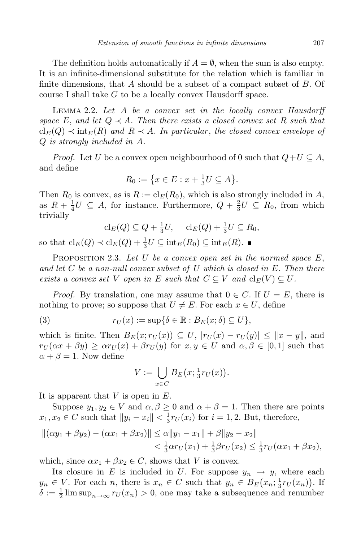The definition holds automatically if  $A = \emptyset$ , when the sum is also empty. It is an infinite-dimensional substitute for the relation which is familiar in finite dimensions, that *A* should be a subset of a compact subset of *B*. Of course I shall take *G* to be a locally convex Hausdorff space.

Lemma 2.2. *Let A be a convex set in the locally convex Hausdorff space*  $E$ , and let  $Q \prec A$ . Then there exists a closed convex set R such that  $cl_E(Q) \prec int_E(R)$  *and*  $R \prec A$ *. In particular, the closed convex envelope of Q is strongly included in A.*

*Proof.* Let *U* be a convex open neighbourhood of 0 such that  $Q+U \subseteq A$ , and define

$$
R_0 := \left\{ x \in E : x + \frac{1}{3}U \subseteq A \right\}.
$$

Then  $R_0$  is convex, as is  $R := cl_E(R_0)$ , which is also strongly included in A, as  $R + \frac{1}{4}U \subseteq A$ , for instance. Furthermore,  $Q + \frac{2}{3}U \subseteq R_0$ , from which trivially

$$
\mathrm{cl}_E(Q) \subseteq Q + \frac{1}{3}U, \quad \mathrm{cl}_E(Q) + \frac{1}{3}U \subseteq R_0,
$$

so that  $\operatorname{cl}_E(Q) \prec \operatorname{cl}_E(Q) + \frac{1}{3}$  $\frac{1}{3}U \subseteq \text{int}_E(R_0) \subseteq \text{int}_E(R)$ .

Proposition 2.3. *Let U be a convex open set in the normed space E*, *and let C be a non-null convex subset of U which is closed in E. Then there exists a convex set V open in E such that*  $C \subseteq V$  *and*  $\text{cl}_E(V) \subseteq U$ .

*Proof.* By translation, one may assume that  $0 \in C$ . If  $U = E$ , there is nothing to prove; so suppose that  $U \neq E$ . For each  $x \in U$ , define

(3) 
$$
r_U(x) := \sup\{\delta \in \mathbb{R} : B_E(x;\delta) \subseteq U\},\
$$

which is finite. Then  $B_E(x; r_U(x)) \subseteq U$ ,  $|r_U(x) - r_U(y)| \le ||x - y||$ , and  $r_U(\alpha x + \beta y) \geq \alpha r_U(x) + \beta r_U(y)$  for  $x, y \in U$  and  $\alpha, \beta \in [0, 1]$  such that  $\alpha + \beta = 1$ . Now define

$$
V := \bigcup_{x \in C} B_E(x; \frac{1}{3}r_U(x)).
$$

It is apparent that *V* is open in *E*.

Suppose  $y_1, y_2 \in V$  and  $\alpha, \beta \geq 0$  and  $\alpha + \beta = 1$ . Then there are points  $x_1, x_2 \in C$  such that  $||y_i - x_i|| < \frac{1}{3}$  $\frac{1}{3}r_U(x_i)$  for  $i = 1, 2$ . But, therefore,

$$
\begin{aligned} ||(\alpha y_1 + \beta y_2) - (\alpha x_1 + \beta x_2)|| &\le \alpha ||y_1 - x_1|| + \beta ||y_2 - x_2|| \\ &< \frac{1}{3} \alpha r_U(x_1) + \frac{1}{3} \beta r_U(x_2) \le \frac{1}{3} r_U(\alpha x_1 + \beta x_2), \end{aligned}
$$

which, since  $\alpha x_1 + \beta x_2 \in C$ , shows that *V* is convex.

Its closure in *E* is included in *U*. For suppose  $y_n \to y$ , where each  $y_n \in V$ . For each *n*, there is  $x_n \in C$  such that  $y_n \in B_E(x_n; \frac{1}{3})$  $\frac{1}{3}r_U(x_n)$ . If  $\delta := \frac{1}{2} \limsup_{n \to \infty} r_U(x_n) > 0$ , one may take a subsequence and renumber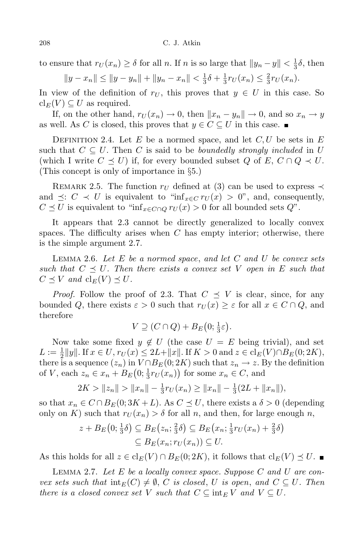to ensure that  $r_U(x_n) \ge \delta$  for all *n*. If *n* is so large that  $||y_n - y|| < \frac{1}{3}$  $\frac{1}{3}\delta$ , then

$$
||y - x_n|| \le ||y - y_n|| + ||y_n - x_n|| < \frac{1}{3}\delta + \frac{1}{3}r_U(x_n) \le \frac{2}{3}r_U(x_n).
$$

In view of the definition of  $r_U$ , this proves that  $y \in U$  in this case. So  $\operatorname{cl}_E(V) \subseteq U$  as required.

If, on the other hand,  $r_U(x_n) \to 0$ , then  $||x_n - y_n|| \to 0$ , and so  $x_n \to y$ as well. As *C* is closed, this proves that  $y \in C \subseteq U$  in this case.

DEFINITION 2.4. Let  $E$  be a normed space, and let  $C, U$  be sets in  $E$ such that  $C \subseteq U$ . Then *C* is said to be *boundedly strongly included* in *U* (which I write  $C \preceq U$ ) if, for every bounded subset  $Q$  of  $E, C \cap Q \prec U$ . (This concept is only of importance in *§*5.)

REMARK 2.5. The function  $r_U$  defined at (3) can be used to express  $\prec$ and  $\preceq$ :  $C \prec U$  is equivalent to "inf<sub>*x*∈C</sub>  $r_U(x) > 0$ ", and, consequently,  $C \preceq U$  is equivalent to "inf<sub>*x*∈*C*∩*Q*</sub>  $r_U(x) > 0$  for all bounded sets  $Q$ ".

It appears that 2.3 cannot be directly generalized to locally convex spaces. The difficulty arises when *C* has empty interior; otherwise, there is the simple argument 2.7.

Lemma 2.6. *Let E be a normed space*, *and let C and U be convex sets such that*  $C \preceq U$ . Then there exists a convex set V open in E such that  $C \preceq V$  *and*  $cl_E(V) \preceq U$ *.* 

*Proof.* Follow the proof of 2.3. That  $C \preceq V$  is clear, since, for any bounded *Q*, there exists  $\varepsilon > 0$  such that  $r_U(x) \geq \varepsilon$  for all  $x \in C \cap Q$ , and therefore

$$
V \supseteq (C \cap Q) + B_E(0; \frac{1}{3}\varepsilon).
$$

Now take some fixed  $y \notin U$  (the case  $U = E$  being trivial), and set  $L := \frac{1}{2} ||y||$ . If  $x \in U$ ,  $r_U(x) \le 2L + ||x||$ . If  $K > 0$  and  $z \in cl_E(V) \cap B_E(0; 2K)$ , there is a sequence  $(z_n)$  in  $V \cap B_E(0; 2K)$  such that  $z_n \to z$ . By the definition of *V*, each  $z_n \in x_n + B_E(0; \frac{1}{3}r_U(x_n))$  for some  $x_n \in C$ , and

$$
2K > ||z_n|| > ||x_n|| - \frac{1}{3}r_U(x_n) \ge ||x_n|| - \frac{1}{3}(2L + ||x_n||),
$$

so that  $x_n \in C \cap B_E(0; 3K + L)$ . As  $C \preceq U$ , there exists a  $\delta > 0$  (depending only on K) such that  $r_U(x_n) > \delta$  for all *n*, and then, for large enough *n*,

$$
z + B_E(0; \frac{1}{3}\delta) \subseteq B_E(z_n; \frac{2}{3}\delta) \subseteq B_E(x_n; \frac{1}{3}r_U(x_n) + \frac{2}{3}\delta)
$$
  

$$
\subseteq B_E(x_n; r_U(x_n)) \subseteq U.
$$

As this holds for all  $z \in \text{cl}_E(V) \cap B_E(0; 2K)$ , it follows that  $\text{cl}_E(V) \preceq U$ .

Lemma 2.7. *Let E be a locally convex space. Suppose C and U are con- <i>sets such that*  $\inf_E(C) \neq \emptyset$ , *C is closed*, *U is open*, *and*  $C \subseteq U$ *. Then there is* a *closed convex set*  $V$  *such that*  $C \subseteq \text{int}_E V$  *and*  $V \subseteq U$ *.*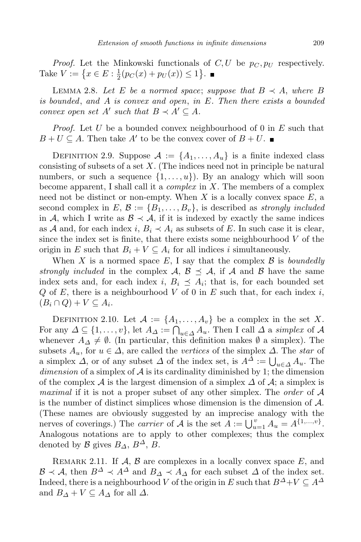*Proof.* Let the Minkowski functionals of  $C, U$  be  $p_C, p_U$  respectively. Take  $V := \{ x \in E : \frac{1}{2} \}$  $\frac{1}{2}(p_C(x) + p_U(x)) \leq 1$ .

LEMMA 2.8. Let E be a normed space; suppose that  $B \prec A$ , where B *is bounded*, *and A is convex and open*, *in E. Then there exists a bounded convex open set*  $A'$  *such that*  $B \prec A' \subseteq A$ *.* 

*Proof.* Let *U* be a bounded convex neighbourhood of 0 in *E* such that  $B + U \subseteq A$ . Then take  $A'$  to be the convex cover of  $B + U$ .

DEFINITION 2.9. Suppose  $A := \{A_1, \ldots, A_u\}$  is a finite indexed class consisting of subsets of a set *X*. (The indices need not in principle be natural numbers, or such a sequence  $\{1, \ldots, u\}$ . By an analogy which will soon become apparent, I shall call it a *complex* in *X*. The members of a complex need not be distinct or non-empty. When *X* is a locally convex space *E*, a second complex in  $E, \mathcal{B} := \{B_1, \ldots, B_v\}$ , is described as *strongly included* in *A*, which I write as  $\mathcal{B} \prec \mathcal{A}$ , if it is indexed by exactly the same indices as *A* and, for each index *i*,  $B_i \prec A_i$  as subsets of *E*. In such case it is clear, since the index set is finite, that there exists some neighbourhood *V* of the origin in *E* such that  $B_i + V \subseteq A_i$  for all indices *i* simultaneously.

When *X* is a normed space *E*, I say that the complex *B* is *boundedly strongly included* in the complex *A*,  $\mathcal{B} \preceq \mathcal{A}$ , if *A* and *B* have the same index sets and, for each index *i*,  $B_i \preceq A_i$ ; that is, for each bounded set *Q* of *E*, there is a neighbourhood *V* of 0 in *E* such that, for each index *i*,  $(B_i \cap Q) + V \subseteq A_i$ .

DEFINITION 2.10. Let  $\mathcal{A} := \{A_1, \ldots, A_v\}$  be a complex in the set X. For any  $\Delta \subseteq \{1, \ldots, v\}$ , let  $A_{\Delta} := \bigcap_{u \in \Delta} A_u$ . Then I call  $\Delta$  a *simplex* of  $\mathcal A$ whenever  $A_{\Delta} \neq \emptyset$ . (In particular, this definition makes  $\emptyset$  a simplex). The subsets  $A_u$ , for  $u \in \Delta$ , are called the *vertices* of the simplex  $\Delta$ . The *star* of a simplex  $\Delta$ , or of any subset  $\Delta$  of the index set, is  $A^{\Delta} := \bigcup_{u \in \Delta} A_u$ . The *dimension* of a simplex of *A* is its cardinality diminished by 1; the dimension of the complex  $\mathcal A$  is the largest dimension of a simplex  $\Delta$  of  $\mathcal A$ ; a simplex is *maximal* if it is not a proper subset of any other simplex. The *order* of *A* is the number of distinct simplices whose dimension is the dimension of *A*. (These names are obviously suggested by an imprecise analogy with the nerves of coverings.) The *carrier* of *A* is the set  $A := \bigcup_{u=1}^{v} A_u = A^{\{1,\dots,v\}}$ . Analogous notations are to apply to other complexes; thus the complex denoted by *B* gives  $B_{\Delta}$ ,  $B^{\Delta}$ , *B*.

Remark 2.11. If *A*, *B* are complexes in a locally convex space *E*, and  $B \prec A$ , then  $B^{\Delta} \prec A^{\Delta}$  and  $B_{\Delta} \prec A_{\Delta}$  for each subset  $\Delta$  of the index set. Indeed, there is a neighbourhood *V* of the origin in *E* such that  $B^{\Delta}+V \subseteq A^{\Delta}$ and  $B_{\Delta} + V \subseteq A_{\Delta}$  for all  $\Delta$ .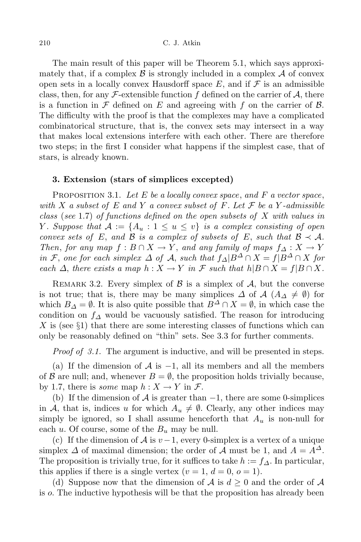The main result of this paper will be Theorem 5.1, which says approximately that, if a complex  $\beta$  is strongly included in a complex  $\mathcal A$  of convex open sets in a locally convex Hausdorff space  $E$ , and if  $\mathcal F$  is an admissible class, then, for any  $\mathcal{F}\text{-extensible function } f$  defined on the carrier of  $\mathcal{A}$ , there is a function in *F* defined on *E* and agreeing with *f* on the carrier of *B*. The difficulty with the proof is that the complexes may have a complicated combinatorical structure, that is, the convex sets may intersect in a way that makes local extensions interfere with each other. There are therefore two steps; in the first I consider what happens if the simplest case, that of stars, is already known.

## **3. Extension (stars of simplices excepted)**

Proposition 3.1. *Let E be a locally convex space*, *and F a vector space*, *with X a subset of E and Y a convex subset of F. Let F be a Y -admissible class* (*see* 1*.*7) *of functions defined on the open subsets of X with values in Y . Suppose that*  $A := \{A_u : 1 \le u \le v\}$  *is a complex consisting of open convex sets of*  $E$ , *and*  $B$  *is a complex of subsets of*  $E$ , *such that*  $B \prec A$ *. Then, for any*  $map f : B \cap X \to Y$ , and any *family of maps*  $f_{\Delta} : X \to Y$ in F, one for each simplex  $\Delta$  of A, such that  $f_{\Delta} | B^{\Delta} \cap X = f | B^{\Delta} \cap X$  for each  $\Delta$ , there exists a map  $h: X \to Y$  in F such that  $h|B \cap X = f|B \cap X$ .

REMARK 3.2. Every simplex of  $\beta$  is a simplex of  $\mathcal{A}$ , but the converse is not true; that is, there may be many simplices  $\Delta$  of  $\mathcal{A}$  ( $A_{\Delta} \neq \emptyset$ ) for which  $B_\Delta = \emptyset$ . It is also quite possible that  $B^\Delta \cap X = \emptyset$ , in which case the condition on  $f_\Delta$  would be vacuously satisfied. The reason for introducing *X* is (see *§*1) that there are some interesting classes of functions which can only be reasonably defined on "thin" sets. See 3.3 for further comments.

*Proof of 3.1.* The argument is inductive, and will be presented in steps.

(a) If the dimension of *A* is *−*1, all its members and all the members of *B* are null; and, whenever  $B = \emptyset$ , the proposition holds trivially because, by 1.7, there is *some* map  $h: X \to Y$  in  $\mathcal{F}$ .

(b) If the dimension of *A* is greater than *−*1, there are some 0-simplices in *A*, that is, indices *u* for which  $A_u \neq \emptyset$ . Clearly, any other indices may simply be ignored, so I shall assume henceforth that  $A_u$  is non-null for each  $u$ . Of course, some of the  $B_u$  may be null.

(c) If the dimension of  $\mathcal A$  is  $v-1$ , every 0-simplex is a vertex of a unique simplex  $\Delta$  of maximal dimension; the order of  $\mathcal A$  must be 1, and  $A = A^{\Delta}$ . The proposition is trivially true, for it suffices to take  $h := f_{\Delta}$ . In particular, this applies if there is a single vertex  $(v = 1, d = 0, o = 1)$ .

(d) Suppose now that the dimension of  $A$  is  $d \geq 0$  and the order of  $A$ is *o*. The inductive hypothesis will be that the proposition has already been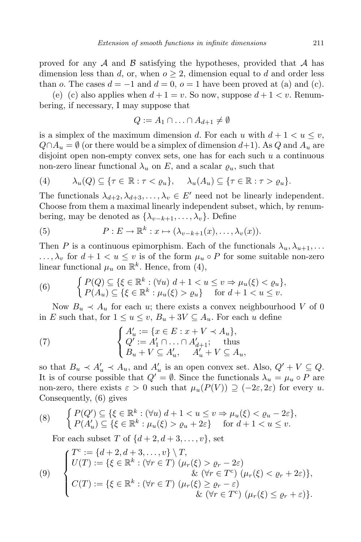proved for any *A* and *B* satisfying the hypotheses, provided that *A* has dimension less than  $d$ , or, when  $o \geq 2$ , dimension equal to  $d$  and order less than *o*. The cases  $d = -1$  and  $d = 0$ ,  $o = 1$  have been proved at (a) and (c).

(e) (c) also applies when  $d+1 = v$ . So now, suppose  $d+1 < v$ . Renumbering, if necessary, I may suppose that

$$
Q := A_1 \cap \ldots \cap A_{d+1} \neq \emptyset
$$

is a simplex of the maximum dimension *d*. For each *u* with  $d+1 < u \leq v$ ,  $Q \cap A_u = \emptyset$  (or there would be a simplex of dimension  $d+1$ ). As  $Q$  and  $A_u$  are disjoint open non-empty convex sets, one has for each such *u* a continuous non-zero linear functional  $\lambda_u$  on E, and a scalar  $\varrho_u$ , such that

$$
(4) \qquad \lambda_u(Q) \subseteq \{\tau \in \mathbb{R} : \tau < \varrho_u\}, \qquad \lambda_u(A_u) \subseteq \{\tau \in \mathbb{R} : \tau > \varrho_u\}.
$$

The functionals  $\lambda_{d+2}, \lambda_{d+3}, \ldots, \lambda_v \in E'$  need not be linearly independent. Choose from them a maximal linearly independent subset, which, by renumbering, may be denoted as  $\{\lambda_{v-k+1}, \ldots, \lambda_v\}$ . Define

(5) 
$$
P: E \to \mathbb{R}^k: x \mapsto (\lambda_{v-k+1}(x), \ldots, \lambda_v(x)).
$$

Then *P* is a continuous epimorphism. Each of the functionals  $\lambda_u, \lambda_{u+1}, \ldots$  $\ldots, \lambda_v$  for  $d+1 < u \leq v$  is of the form  $\mu_u \circ P$  for some suitable non-zero linear functional  $\mu_u$  on  $\mathbb{R}^k$ . Hence, from (4),

(6) 
$$
\begin{cases} P(Q) \subseteq \{\xi \in \mathbb{R}^k : (\forall u) \ d+1 < u \le v \Rightarrow \mu_u(\xi) < \varrho_u\}, \\ P(A_u) \subseteq \{\xi \in \mathbb{R}^k : \mu_u(\xi) > \varrho_u\} \quad \text{for } d+1 < u \le v. \end{cases}
$$

Now  $B_u \prec A_u$  for each *u*; there exists a convex neighbourhood *V* of 0 in *E* such that, for  $1 \le u \le v$ ,  $B_u + 3V \subseteq A_u$ . For each *u* define

(7) 
$$
\begin{cases} A'_u := \{x \in E : x + V \prec A_u\}, \\ Q' := A'_1 \cap \ldots \cap A'_{d+1}; \\ B_u + V \subseteq A'_u, \quad A'_u + V \subseteq A_u, \end{cases}
$$

so that  $B_u \prec A'_u \prec A_u$ , and  $A'_u$  is an open convex set. Also,  $Q' + V \subseteq Q$ . It is of course possible that  $Q' = \emptyset$ . Since the functionals  $\lambda_u = \mu_u \circ P$  are non-zero, there exists  $\varepsilon > 0$  such that  $\mu_u(P(V)) \supseteq (-2\varepsilon, 2\varepsilon)$  for every *u*. Consequently, (6) gives

(8) 
$$
\begin{cases} P(Q') \subseteq \{\xi \in \mathbb{R}^k : (\forall u) \ d+1 < u \le v \Rightarrow \mu_u(\xi) < \varrho_u - 2\varepsilon\}, \\ P(A'_u) \subseteq \{\xi \in \mathbb{R}^k : \mu_u(\xi) > \varrho_u + 2\varepsilon\} & \text{for } d+1 < u \le v. \end{cases}
$$

For each subset *T* of  $\{d+2, d+3, \ldots, v\}$ , set

(9) 
$$
\begin{cases}\nT^c := \{d+2, d+3, \ldots, v\} \setminus T, \\
U(T) := \{\xi \in \mathbb{R}^k : (\forall r \in T) \ (\mu_r(\xi) > \varrho_r - 2\varepsilon) \\
&\& (\forall r \in T^c) \ (\mu_r(\xi) < \varrho_r + 2\varepsilon)\}, \\
C(T) := \{\xi \in \mathbb{R}^k : (\forall r \in T) \ (\mu_r(\xi) \geq \varrho_r - \varepsilon) \\
&\& (\forall r \in T^c) \ (\mu_r(\xi) \leq \varrho_r + \varepsilon)\}.\n\end{cases}
$$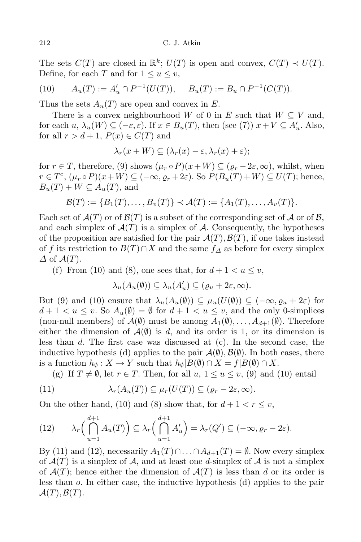The sets  $C(T)$  are closed in  $\mathbb{R}^k$ ;  $U(T)$  is open and convex,  $C(T) \prec U(T)$ . Define, for each *T* and for  $1 \le u \le v$ ,

(10) 
$$
A_u(T) := A'_u \cap P^{-1}(U(T)), \quad B_u(T) := B_u \cap P^{-1}(C(T)).
$$

Thus the sets  $A_u(T)$  are open and convex in  $E$ .

There is a convex neighbourhood *W* of 0 in *E* such that  $W \subseteq V$  and, for each  $u$ ,  $\lambda_u(W) \subseteq (-\varepsilon, \varepsilon)$ . If  $x \in B_u(T)$ , then (see (7))  $x + V \subseteq A'_u$ . Also, for all  $r > d + 1$ ,  $P(x) \in C(T)$  and

$$
\lambda_r(x+W) \subseteq (\lambda_r(x)-\varepsilon, \lambda_r(x)+\varepsilon);
$$

for  $r \in T$ , therefore, (9) shows  $(\mu_r \circ P)(x+W) \subseteq (\varrho_r - 2\varepsilon, \infty)$ , whilst, when  $r \in T^c$ ,  $(\mu_r \circ P)(x+W) \subseteq (-\infty, \varrho_r + 2\varepsilon)$ . So  $P(B_u(T) + W) \subseteq U(T)$ ; hence,  $B_u(T) + W \subseteq A_u(T)$ , and

$$
\mathcal{B}(T) := \{B_1(T), \ldots, B_v(T)\} \prec \mathcal{A}(T) := \{A_1(T), \ldots, A_v(T)\}.
$$

Each set of  $\mathcal{A}(T)$  or of  $\mathcal{B}(T)$  is a subset of the corresponding set of  $\mathcal{A}$  or of  $\mathcal{B}$ , and each simplex of  $\mathcal{A}(T)$  is a simplex of  $\mathcal{A}$ . Consequently, the hypotheses of the proposition are satisfied for the pair  $\mathcal{A}(T), \mathcal{B}(T)$ , if one takes instead of *f* its restriction to  $B(T) \cap X$  and the same  $f_{\Delta}$  as before for every simplex *∆* of *A*(*T*).

(f) From (10) and (8), one sees that, for  $d+1 < u \leq v$ ,

$$
\lambda_u(A_u(\emptyset)) \subseteq \lambda_u(A'_u) \subseteq (\varrho_u + 2\varepsilon, \infty).
$$

But (9) and (10) ensure that  $\lambda_u(A_u(\emptyset)) \subseteq \mu_u(U(\emptyset)) \subseteq (-\infty, \varrho_u + 2\varepsilon)$  for  $d+1 < u \leq v$ . So  $A_u(\emptyset) = \emptyset$  for  $d+1 < u \leq v$ , and the only 0-simplices (non-null members) of  $\mathcal{A}(\emptyset)$  must be among  $A_1(\emptyset), \ldots, A_{d+1}(\emptyset)$ . Therefore either the dimension of  $\mathcal{A}(\emptyset)$  is *d*, and its order is 1, or its dimension is less than *d*. The first case was discussed at (c). In the second case, the inductive hypothesis (d) applies to the pair  $\mathcal{A}(\emptyset), \mathcal{B}(\emptyset)$ . In both cases, there is a function  $h_{\emptyset}: X \to Y$  such that  $h_{\emptyset}|B(\emptyset) \cap X = f|B(\emptyset) \cap X$ .

(g) If  $T \neq \emptyset$ , let  $r \in T$ . Then, for all  $u, 1 \leq u \leq v$ , (9) and (10) entail

(11) 
$$
\lambda_r(A_u(T)) \subseteq \mu_r(U(T)) \subseteq (\varrho_r - 2\varepsilon, \infty).
$$

On the other hand, (10) and (8) show that, for  $d+1 < r \leq v$ ,

(12) 
$$
\lambda_r\left(\bigcap_{u=1}^{d+1} A_u(T)\right) \subseteq \lambda_r\left(\bigcap_{u=1}^{d+1} A'_u\right) = \lambda_r(Q') \subseteq (-\infty, \varrho_r - 2\varepsilon).
$$

By (11) and (12), necessarily  $A_1(T) \cap \ldots \cap A_{d+1}(T) = \emptyset$ . Now every simplex of  $\mathcal{A}(T)$  is a simplex of  $\mathcal{A}$ , and at least one *d*-simplex of  $\mathcal{A}$  is not a simplex of  $\mathcal{A}(T)$ ; hence either the dimension of  $\mathcal{A}(T)$  is less than *d* or its order is less than *o*. In either case, the inductive hypothesis (d) applies to the pair  $\mathcal{A}(T), \mathcal{B}(T)$ .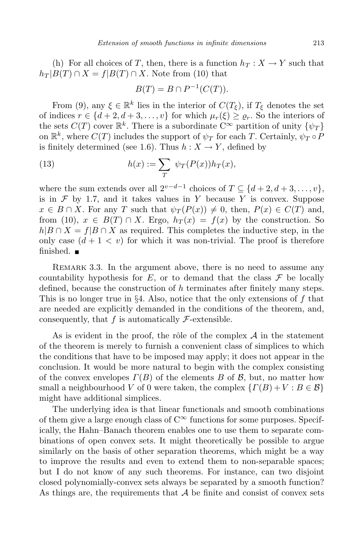(h) For all choices of *T*, then, there is a function  $h_T: X \to Y$  such that  $h_T|B(T) \cap X = f|B(T) \cap X$ . Note from (10) that

$$
B(T) = B \cap P^{-1}(C(T)).
$$

From (9), any  $\xi \in \mathbb{R}^k$  lies in the interior of  $C(T_{\xi})$ , if  $T_{\xi}$  denotes the set of indices  $r \in \{d+2, d+3, \ldots, v\}$  for which  $\mu_r(\xi) \ge \varrho_r$ . So the interiors of the sets  $C(T)$  cover  $\mathbb{R}^k$ . There is a subordinate  $C^{\infty}$  partition of unity  $\{\psi_T\}$ on  $\mathbb{R}^k$ , where  $C(T)$  includes the support of  $\psi_T$  for each *T*. Certainly,  $\psi_T \circ P$ is finitely determined (see 1.6). Thus  $h: X \to Y$ , defined by

(13) 
$$
h(x) := \sum_{T} \psi_T(P(x))h_T(x),
$$

where the sum extends over all  $2^{v-d-1}$  choices of  $T \subseteq \{d+2, d+3, \ldots, v\}$ , is in  $\mathcal F$  by 1.7, and it takes values in  $Y$  because  $Y$  is convex. Suppose  $x \in B \cap X$ . For any *T* such that  $\psi_T(P(x)) \neq 0$ , then,  $P(x) \in C(T)$  and, from (10),  $x \in B(T) \cap X$ . Ergo,  $h_T(x) = f(x)$  by the construction. So  $h|B \cap X = f|B \cap X$  as required. This completes the inductive step, in the only case  $(d+1 < v)$  for which it was non-trivial. The proof is therefore finished.  $\blacksquare$ 

REMARK 3.3. In the argument above, there is no need to assume any countability hypothesis for  $E$ , or to demand that the class  $\mathcal F$  be locally defined, because the construction of *h* terminates after finitely many steps. This is no longer true in *§*4. Also, notice that the only extensions of *f* that are needed are explicitly demanded in the conditions of the theorem, and, consequently, that  $f$  is automatically  $\mathcal{F}\text{-extensible.}$ 

As is evident in the proof, the rôle of the complex  $A$  in the statement of the theorem is merely to furnish a convenient class of simplices to which the conditions that have to be imposed may apply; it does not appear in the conclusion. It would be more natural to begin with the complex consisting of the convex envelopes *Γ*(*B*) of the elements *B* of *B*, but, no matter how small a neighbourhood *V* of 0 were taken, the complex  $\{ \Gamma(B) + V : B \in \mathcal{B} \}$ might have additional simplices.

The underlying idea is that linear functionals and smooth combinations of them give a large enough class of  $C^{\infty}$  functions for some purposes. Specifically, the Hahn–Banach theorem enables one to use them to separate combinations of open convex sets. It might theoretically be possible to argue similarly on the basis of other separation theorems, which might be a way to improve the results and even to extend them to non-separable spaces; but I do not know of any such theorems. For instance, can two disjoint closed polynomially-convex sets always be separated by a smooth function? As things are, the requirements that *A* be finite and consist of convex sets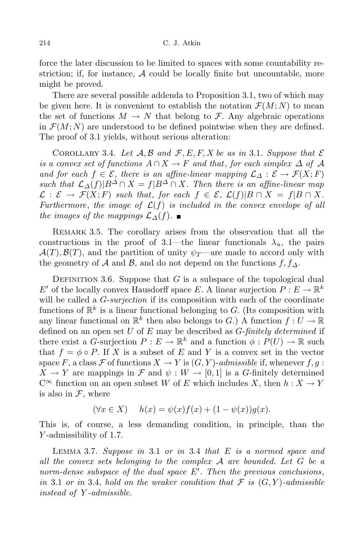force the later discussion to be limited to spaces with some countability restriction; if, for instance,  $A$  could be locally finite but uncountable, more might be proved.

There are several possible addenda to Proposition 3.1, two of which may be given here. It is convenient to establish the notation  $\mathcal{F}(M; N)$  to mean the set of functions  $M \to N$  that belong to  $\mathcal{F}$ . Any algebraic operations in  $\mathcal{F}(M; N)$  are understood to be defined pointwise when they are defined. The proof of 3.1 yields, without serious alteration:

COROLLARY 3.4. Let  $A, B$  and  $F, E, F, X$  be as in 3.1. Suppose that  $\mathcal E$ *is a convex set of functions*  $A \cap X \to F$  *and that*, *for each simplex*  $\Delta$  *of*  $\mathcal A$ *and for each*  $f \in \mathcal{E}$ , *there is an affine-linear mapping*  $\mathcal{L}_{\Delta} : \mathcal{E} \rightarrow \mathcal{F}(X; F)$ such that  $\mathcal{L}_{\Delta}(f)|B^{\Delta} \cap X = f|B^{\Delta} \cap X$ . Then there is an affine-linear map  $\mathcal{L}: \mathcal{E} \to \mathcal{F}(X;F)$  such that, for each  $f \in \mathcal{E}, \mathcal{L}(f)|B \cap X = f|B \cap X$ . *Furthermore, the image of*  $\mathcal{L}(f)$  *is included in the convex envelope of all the images of the mappings*  $\mathcal{L}_\Delta(f)$ . ■

REMARK 3.5. The corollary arises from the observation that all the constructions in the proof of 3.1—the linear functionals  $\lambda_u$ , the pairs  $A(T), B(T)$ , and the partition of unity  $\psi_T$ —are made to accord only with the geometry of *A* and *B*, and do not depend on the functions  $f, f_\Lambda$ .

DEFINITION 3.6. Suppose that  $G$  is a subspace of the topological dual *E*<sup>*f*</sup> of the locally convex Hausdorff space *E*. A linear surjection  $P: E \to \mathbb{R}^k$ will be called a *G*-*surjection* if its composition with each of the coordinate functions of  $\mathbb{R}^k$  is a linear functional belonging to *G*. (Its composition with any linear functional on  $\mathbb{R}^k$  then also belongs to *G*.) A function  $f: U \to \mathbb{R}$ defined on an open set *U* of *E* may be described as *G*-*finitely determined* if there exist a *G*-surjection  $P: E \to \mathbb{R}^k$  and a function  $\phi: P(U) \to \mathbb{R}$  such that  $f = \phi \circ P$ . If X is a subset of E and Y is a convex set in the vector space *F*, a class *F* of functions  $X \to Y$  is  $(G, Y)$ -*admissible* if, whenever  $f, g$ :  $X \to Y$  are mappings in  $\mathcal F$  and  $\psi : W \to [0,1]$  is a *G*-finitely determined  $C^{\infty}$  function on an open subset *W* of *E* which includes *X*, then  $h: X \to Y$ is also in *F*, where

$$
(\forall x \in X) \quad h(x) = \psi(x)f(x) + (1 - \psi(x))g(x).
$$

This is, of course, a less demanding condition, in principle, than the *Y* -admissibility of 1.7.

Lemma 3.7. *Suppose in* 3*.*1 *or in* 3*.*4 *that E is a normed space and all the convex sets belonging to the complex A are bounded. Let G be a norm-dense subspace of the dual space E<sup>0</sup> . Then the previous conclusions*, *in* 3.1 *or in* 3.4, *hold on the weaker condition that*  $\mathcal{F}$  *is*  $(G, Y)$ *-admissible instead of Y -admissible.*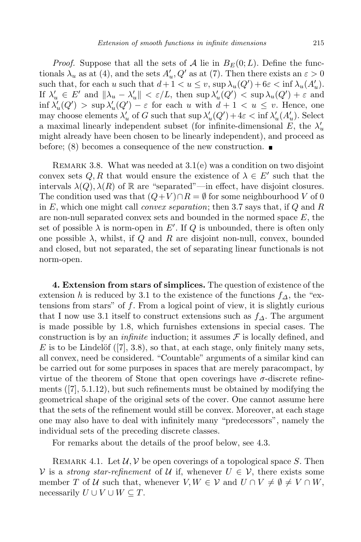*Proof.* Suppose that all the sets of *A* lie in  $B_F(0;L)$ . Define the functionals  $\lambda_u$  as at (4), and the sets  $A'_u, Q'$  as at (7). Then there exists an  $\varepsilon > 0$ such that, for each *u* such that  $d+1 < u \leq v$ ,  $\sup_{u \in \mathcal{U}} \lambda_u(Q') + 6\varepsilon < \inf_{u \in \mathcal{U}} \lambda_u(A'_u)$ . If  $\lambda'_u \in E'$  and  $\|\lambda_u - \lambda'_u\| < \varepsilon/L$ , then sup  $\lambda'_u(Q') < \sup \lambda_u(Q') + \varepsilon$  and  $\inf \lambda'_u(Q') > \sup \lambda'_u(Q') - \varepsilon$  for each *u* with  $d+1 < u \leq v$ . Hence, one may choose elements  $\lambda'_u$  of *G* such that  $\sup \lambda'_u(Q') + 4\varepsilon < \inf \lambda'_u(A'_u)$ . Select a maximal linearly independent subset (for infinite-dimensional  $E$ , the  $\lambda'_u$ might already have been chosen to be linearly independent), and proceed as before; (8) becomes a consequence of the new construction.

REMARK 3.8. What was needed at  $3.1(e)$  was a condition on two disjoint convex sets  $Q, R$  that would ensure the existence of  $\lambda \in E'$  such that the intervals  $\lambda(Q), \lambda(R)$  of R are "separated"—in effect, have disjoint closures. The condition used was that  $(Q+V) \cap R = \emptyset$  for some neighbourhood *V* of 0 in *E*, which one might call *convex separation*; then 3.7 says that, if *Q* and *R* are non-null separated convex sets and bounded in the normed space *E*, the set of possible  $\lambda$  is norm-open in  $E'$ . If  $Q$  is unbounded, there is often only one possible  $\lambda$ , whilst, if  $Q$  and  $R$  are disjoint non-null, convex, bounded and closed, but not separated, the set of separating linear functionals is not norm-open.

**4. Extension from stars of simplices.** The question of existence of the extension *h* is reduced by 3.1 to the existence of the functions  $f_{\Delta}$ , the "extensions from stars" of *f*. From a logical point of view, it is slightly curious that I now use 3.1 itself to construct extensions such as *f∆*. The argument is made possible by 1.8, which furnishes extensions in special cases. The construction is by an *infinite* induction; it assumes  $\mathcal F$  is locally defined, and E is to be Lindelöf  $([7], 3.8)$ , so that, at each stage, only finitely many sets, all convex, need be considered. "Countable" arguments of a similar kind can be carried out for some purposes in spaces that are merely paracompact, by virtue of the theorem of Stone that open coverings have *σ*-discrete refinements ([7], 5.1.12), but such refinements must be obtained by modifying the geometrical shape of the original sets of the cover. One cannot assume here that the sets of the refinement would still be convex. Moreover, at each stage one may also have to deal with infinitely many "predecessors", namely the individual sets of the preceding discrete classes.

For remarks about the details of the proof below, see 4.3.

REMARK 4.1. Let  $\mathcal{U}, \mathcal{V}$  be open coverings of a topological space *S*. Then *V* is a *strong star-refinement* of *U* if, whenever  $U \in \mathcal{V}$ , there exists some member *T* of *U* such that, whenever  $V, W \in V$  and  $U \cap V \neq \emptyset \neq V \cap W$ , necessarily  $U \cup V \cup W \subseteq T$ .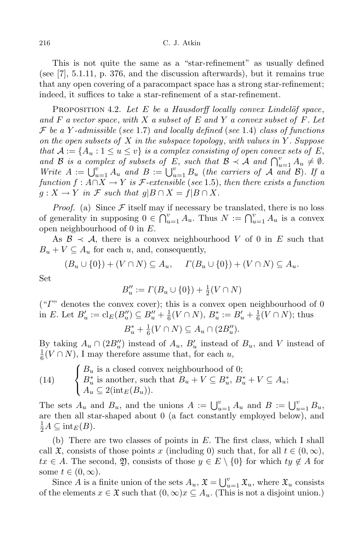This is not quite the same as a "star-refinement" as usually defined (see [7], 5.1.11, p. 376, and the discussion afterwards), but it remains true that any open covering of a paracompact space has a strong star-refinement; indeed, it suffices to take a star-refinement of a star-refinement.

PROPOSITION 4.2. Let *E* be a *Hausdorff* locally convex Lindelöf space, *and F a vector space*, *with X a subset of E and Y a convex subset of F. Let F be a Y -admissible* (*see* 1*.*7) *and locally defined* (*see* 1*.*4) *class of functions on the open subsets of X in the subspace topology*, *with values in Y . Suppose that*  $\mathcal{A} := \{A_u : 1 \leq u \leq v\}$  *is a complex consisting of open convex sets of*  $E$ , and B is a complex of subsets of E, such that  $\mathcal{B} \prec \mathcal{A}$  and  $\bigcap_{u=1}^{v} A_u \neq \emptyset$ . *Write*  $A := \bigcup_{u=1}^{v} A_u$  *and*  $B := \bigcup_{u=1}^{v} B_u$  (*the carriers of*  $A$  *and*  $B$ *). If a function*  $f : A ∩ X → Y$  *is*  $\mathcal{F}\text{-}extensible$  (*see* 1.5), *then there exists a function*  $g: X \to Y$  *in*  $\mathcal F$  *such that*  $g|B \cap X = f|B \cap X$ .

*Proof.* (a) Since  $\mathcal F$  itself may if necessary be translated, there is no loss of generality in supposing  $0 \in \bigcap_{u=1}^{v} A_u$ . Thus  $N := \bigcap_{u=1}^{v} A_u$  is a convex open neighbourhood of 0 in *E*.

As  $\mathcal{B} \prec \mathcal{A}$ , there is a convex neighbourhood *V* of 0 in *E* such that  $B_u + V \subseteq A_u$  for each *u*, and, consequently,

$$
(B_u \cup \{0\}) + (V \cap N) \subseteq A_u, \quad \Gamma(B_u \cup \{0\}) + (V \cap N) \subseteq A_u.
$$

Set

$$
B''_u := \Gamma(B_u \cup \{0\}) + \frac{1}{2}(V \cap N)
$$

("*Γ*" denotes the convex cover); this is a convex open neighbourhood of 0 in *E*. Let  $B'_u := \text{cl}_E(B''_u) \subseteq B''_u + \frac{1}{6}$  $\frac{1}{6}(V \cap N), B_u^* := B_u' + \frac{1}{6}$  $\frac{1}{6}(V \cap N)$ ; thus

$$
B_u^* + \frac{1}{6}(V \cap N) \subseteq A_u \cap (2B_u'').
$$

By taking  $A_u \cap (2B_u'')$  instead of  $A_u$ ,  $B_u'$  instead of  $B_u$ , and *V* instead of 1  $\frac{1}{6}(V \cap N)$ , I may therefore assume that, for each *u*,

(14) 
$$
\begin{cases} B_u \text{ is a closed convex neighbourhood of 0;} \\ B_u^* \text{ is another, such that } B_u + V \subseteq B_u^*, B_u^* + V \subseteq A_u; \\ A_u \subseteq 2(\text{int}_E(B_u)). \end{cases}
$$

The sets  $A_u$  and  $B_u$ , and the unions  $A := \bigcup_{u=1}^v A_u$  and  $B := \bigcup_{u=1}^v B_u$ , are then all star-shaped about 0 (a fact constantly employed below), and  $\frac{1}{2}A \subseteq \text{int}_E(B).$ 

(b) There are two classes of points in *E*. The first class, which I shall call  $\mathfrak{X}$ , consists of those points *x* (including 0) such that, for all  $t \in (0, \infty)$ , *tx* ∈ *A*. The second, 2, consists of those  $y \text{ } ∈ E \setminus \{0\}$  for which  $ty \notin A$  for some  $t \in (0, \infty)$ .

Since *A* is a finite union of the sets  $A_u$ ,  $\mathfrak{X} = \bigcup_{u=1}^v \mathfrak{X}_u$ , where  $\mathfrak{X}_u$  consists of the elements  $x \in \mathfrak{X}$  such that  $(0, \infty)x \subseteq A_u$ . (This is not a disjoint union.)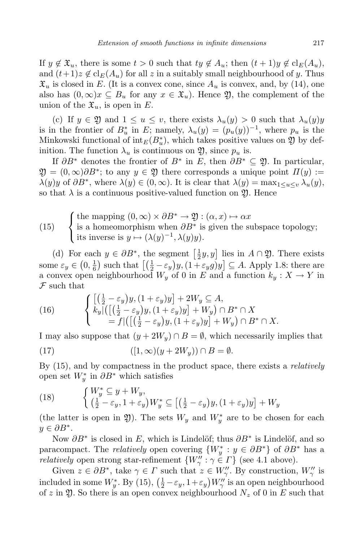If  $y \notin \mathfrak{X}_u$ , there is some  $t > 0$  such that  $ty \notin A_u$ ; then  $(t+1)y \notin \text{cl}_E(A_u)$ , and  $(t+1)z \notin \mathrm{cl}_E(A_u)$  for all z in a suitably small neighbourhood of y. Thus  $\mathfrak{X}_u$  is closed in *E*. (It is a convex cone, since  $A_u$  is convex, and, by (14), one also has  $(0, \infty)x \subseteq B_u$  for any  $x \in \mathfrak{X}_u$ . Hence  $\mathfrak{Y}$ , the complement of the union of the  $\mathfrak{X}_u$ , is open in E.

(c) If  $y \in \mathfrak{Y}$  and  $1 \leq u \leq v$ , there exists  $\lambda_u(y) > 0$  such that  $\lambda_u(y)y$ is in the frontier of  $B^*_{u}$  in  $E$ ; namely,  $\lambda_u(y) = (p_u(y))^{-1}$ , where  $p_u$  is the Minkowski functional of  $\text{int}_E(B_u^*)$ , which takes positive values on  $\mathfrak Y$  by definition. The function  $\lambda_u$  is continuous on  $\mathfrak{Y}$ , since  $p_u$  is.

If  $\partial B^*$  denotes the frontier of  $B^*$  in  $E$ , then  $\partial B^* \subseteq \mathfrak{Y}$ . In particular,  $\mathfrak{Y} = (0, \infty) \partial B^*$ ; to any  $y \in \mathfrak{Y}$  there corresponds a unique point  $\Pi(y) :=$  $\lambda(y)y$  of  $\partial B^*$ , where  $\lambda(y) \in (0, \infty)$ . It is clear that  $\lambda(y) = \max_{1 \le u \le v} \lambda_u(y)$ , so that  $\lambda$  is a continuous positive-valued function on  $\mathfrak{Y}$ . Hence

(15) { the mapping 
$$
(0, \infty) \times \partial B^* \to \mathfrak{Y} : (\alpha, x) \mapsto \alpha x
$$
  
is a homeomorphism when  $\partial B^*$  is given the subspace topology;  
its inverse is  $y \mapsto (\lambda(y)^{-1}, \lambda(y)y)$ .

(d) For each  $y \in \partial B^*$ , the segment  $\left[\frac{1}{2}\right]$  $\frac{1}{2}y, y$  lies in  $A \cap \mathfrak{Y}$ . There exists some  $\varepsilon_y \in \left(0, \frac{1}{6}\right)$  $\frac{1}{6}$  such that  $\left[\left(\frac{1}{2} - \varepsilon_y\right)y, (1 + \varepsilon_y g)y\right] \subseteq A$ . Apply 1.8: there are a convex open neighbourhood  $W_y$  of 0 in *E* and a function  $k_y: X \to Y$  in *F* such that

(16) 
$$
\begin{cases} \left[ \left( \frac{1}{2} - \varepsilon_y \right) y, (1 + \varepsilon_y) y \right] + 2W_y \subseteq A, \\ k_y \left[ \left( \left[ \left( \frac{1}{2} - \varepsilon_y \right) y, (1 + \varepsilon_y) y \right] + W_y \right) \cap B^* \cap X \\ = f \left[ \left( \left[ \left( \frac{1}{2} - \varepsilon_y \right) y, (1 + \varepsilon_y) y \right] + W_y \right) \cap B^* \cap X. \right. \end{cases}
$$

I may also suppose that  $(y + 2W_y) \cap B = \emptyset$ , which necessarily implies that

(17) 
$$
([1, \infty)(y + 2W_y)) \cap B = \emptyset.
$$

By (15), and by compactness in the product space, there exists a *relatively* open set  $W_y^*$  in  $\partial B^*$  which satisfies

(18) 
$$
\begin{cases} W_y^* \subseteq y + W_y, \\ \left(\frac{1}{2} - \varepsilon_y, 1 + \varepsilon_y\right) W_y^* \subseteq \left[\left(\frac{1}{2} - \varepsilon_y\right) y, (1 + \varepsilon_y) y\right] + W_y \end{cases}
$$

(the latter is open in  $\mathfrak{Y}$ ). The sets  $W_y$  and  $W^*_y$  are to be chosen for each *y ∈ ∂B<sup>∗</sup>* .

Now  $\partial B^*$  is closed in *E*, which is Lindelöf; thus  $\partial B^*$  is Lindelöf, and so paracompact. The *relatively* open covering  ${W<sub>y</sub> : y \in \partial B^*}$  of  $\partial B^*$  has a *relatively* open strong star-refinement  $\{W''_{\gamma} : \gamma \in \Gamma\}$  (see 4.1 above).

Given  $z \in \partial B^*$ , take  $\gamma \in \Gamma$  such that  $z \in W''_{\gamma}$ . By construction,  $W''_{\gamma}$  is included in some  $W_y^*$ . By (15),  $(\frac{1}{2} - \varepsilon_y, 1 + \varepsilon_y)W_{\gamma}''$  is an open neighbourhood of  $z$  in  $\mathfrak{Y}$ . So there is an open convex neighbourhood  $N_z$  of 0 in  $E$  such that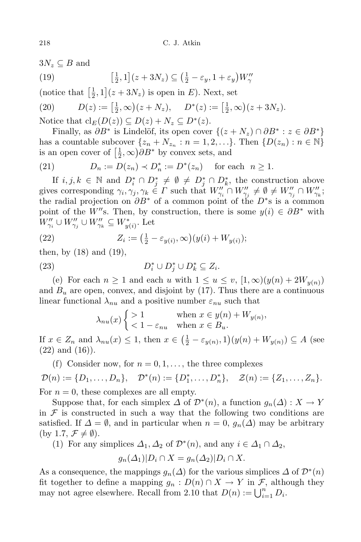$3N_z \subseteq B$  and

(19) 
$$
\left[\frac{1}{2},1\right](z+3N_z) \subseteq \left(\frac{1}{2}-\varepsilon_y,1+\varepsilon_y\right)W''_\gamma
$$

(notice that  $\left[\frac{1}{2}\right]$  $(\frac{1}{2}, 1](z + 3N_z)$  is open in *E*). Next, set

(20) 
$$
D(z) := \left[\frac{1}{2}, \infty\right)(z + N_z), \quad D^*(z) := \left[\frac{1}{2}, \infty\right)(z + 3N_z).
$$

Notice that  $\text{cl}_E(D(z)) \subseteq D(z) + N_z \subseteq D^*(z)$ .

Finally, as  $\partial B^*$  is Lindelöf, its open cover  $\{(z+N_z) \cap \partial B^* : z \in \partial B^*\}$ has a countable subcover  $\{z_n + N_{z_n} : n = 1, 2, ...\}$ . Then  $\{D(z_n) : n \in \mathbb{N}\}$ is an open cover of  $\left[\frac{1}{2}\right]$  $(\frac{1}{2}, \infty) \partial B^*$  by convex sets, and

(21) 
$$
D_n := D(z_n) \prec D_n^* := D^*(z_n)
$$
 for each  $n \ge 1$ .

If  $i, j, k \in \mathbb{N}$  and  $D_i^* \cap D_j^* \neq \emptyset \neq D_j^* \cap D_k^*$ , the construction above gives corresponding  $\gamma_i, \gamma_j, \gamma_k \in \Gamma$  such that  $W''_{\gamma_i} \cap W''_{\gamma_j} \neq \emptyset \neq W''_{\gamma_j} \cap W''_{\gamma_k}$ ; the radial projection on *∂B<sup>∗</sup>* of a common point of the *D<sup>∗</sup>* s is a common point of the *W<sup>n</sup>*s. Then, by construction, there is some  $y(i) \in \partial B^*$  with  $W''_{\gamma_i} \cup W''_{\gamma_j} \cup W''_{\gamma_k} \subseteq W^*_{y(i)}$ . Let

(22) 
$$
Z_i := \left(\frac{1}{2} - \varepsilon_{y(i)}, \infty\right) (y(i) + W_{y(i)});
$$

then, by  $(18)$  and  $(19)$ ,

(23) 
$$
D_i^* \cup D_j^* \cup D_k^* \subseteq Z_i.
$$

(e) For each  $n \geq 1$  and each *u* with  $1 \leq u \leq v$ ,  $[1,\infty)(y(n) + 2W_{y(n)})$ and  $B_u$  are open, convex, and disjoint by  $(17)$ . Thus there are a continuous linear functional  $\lambda_{nu}$  and a positive number  $\varepsilon_{nu}$  such that

$$
\lambda_{nu}(x) \begin{cases} > 1 & \text{when } x \in y(n) + W_{y(n)}, \\ < 1 - \varepsilon_{nu} & \text{when } x \in B_u. \end{cases}
$$

If  $x \in Z_n$  and  $\lambda_{nu}(x) \leq 1$ , then  $x \in (\frac{1}{2} - \varepsilon_{y(n)}, 1)(y(n) + W_{y(n)}) \subseteq A$  (see  $(22)$  and  $(16)$ ).

(f) Consider now, for  $n = 0, 1, \ldots$ , the three complexes  $\mathcal{D}(n) := \{D_1, \ldots, D_n\}, \quad \mathcal{D}^*(n) := \{D_1^*, \ldots, D_n^*\}, \quad \mathcal{Z}(n) := \{Z_1, \ldots, Z_n\}.$ For  $n = 0$ , these complexes are all empty.

Suppose that, for each simplex  $\Delta$  of  $\mathcal{D}^*(n)$ , a function  $g_n(\Delta) : X \to Y$ in  $F$  is constructed in such a way that the following two conditions are satisfied. If  $\Delta = \emptyset$ , and in particular when  $n = 0$ ,  $g_n(\Delta)$  may be arbitrary  $(\text{by } 1.7, \mathcal{F} \neq \emptyset).$ 

(1) For any simplices  $\Delta_1, \Delta_2$  of  $\mathcal{D}^*(n)$ , and any  $i \in \Delta_1 \cap \Delta_2$ ,

$$
g_n(\Delta_1)|D_i \cap X = g_n(\Delta_2)|D_i \cap X.
$$

As a consequence, the mappings  $g_n(\Delta)$  for the various simplices  $\Delta$  of  $\mathcal{D}^*(n)$ fit together to define a mapping  $g_n: D(n) \cap X \to Y$  in  $\mathcal{F}$ , although they may not agree elsewhere. Recall from 2.10 that  $D(n) := \bigcup_{i=1}^{n} D_i$ .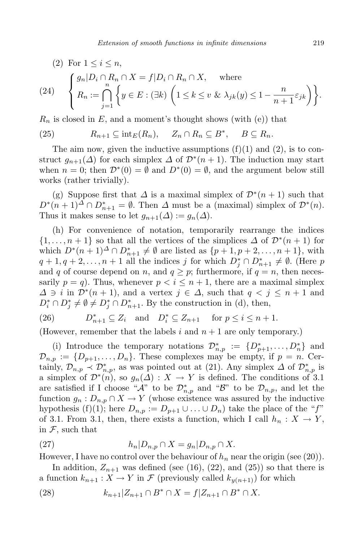(2) For  $1 \leq i \leq n$ ,

(24) 
$$
\begin{cases} g_n | D_i \cap R_n \cap X = f | D_i \cap R_n \cap X, \quad \text{where} \\ R_n := \bigcap_{j=1}^n \left\{ y \in E : (\exists k) \left( 1 \le k \le v \& \lambda_{jk}(y) \le 1 - \frac{n}{n+1} \varepsilon_{jk} \right) \right\} . \end{cases}
$$

 $R_n$  is closed in  $E$ , and a moment's thought shows (with (e)) that

(25) 
$$
R_{n+1} \subseteq \mathrm{int}_E(R_n), \quad Z_n \cap R_n \subseteq B^*, \quad B \subseteq R_n.
$$

The aim now, given the inductive assumptions  $(f)(1)$  and  $(2)$ , is to construct  $g_{n+1}(\Delta)$  for each simplex  $\Delta$  of  $\mathcal{D}^*(n+1)$ . The induction may start when  $n = 0$ ; then  $\mathcal{D}^*(0) = \emptyset$  and  $D^*(0) = \emptyset$ , and the argument below still works (rather trivially).

(g) Suppose first that  $\Delta$  is a maximal simplex of  $\mathcal{D}^*(n+1)$  such that  $D^*(n+1)^{\Delta} \cap D_{n+1}^* = \emptyset$ . Then  $\Delta$  must be a (maximal) simplex of  $\mathcal{D}^*(n)$ . Thus it makes sense to let  $g_{n+1}(\Delta) := g_n(\Delta)$ .

(h) For convenience of notation, temporarily rearrange the indices  $\{1, \ldots, n+1\}$  so that all the vertices of the simplices  $\Delta$  of  $\mathcal{D}^*(n+1)$  for which  $D^*(n+1)^{\Delta} \cap D_{n+1}^* \neq \emptyset$  are listed as  $\{p+1, p+2, \ldots, n+1\}$ , with  $q + 1, q + 2, \ldots, n + 1$  all the indices *j* for which  $D_j^* \cap D_{n+1}^* \neq \emptyset$ . (Here *p* and *q* of course depend on *n*, and  $q \geq p$ ; furthermore, if  $q = n$ , then necessarily  $p = q$ . Thus, whenever  $p < i \leq n + 1$ , there are a maximal simplex *∆ ∋ i* in  $\mathcal{D}^*(n+1)$ , and a vertex  $j \in \Delta$ , such that  $q < j \leq n+1$  and  $D_i^* \cap D_j^* \neq \emptyset \neq D_j^* \cap D_{n+1}^*$ . By the construction in (d), then,

(26) 
$$
D_{n+1}^* \subseteq Z_i \quad \text{and} \quad D_i^* \subseteq Z_{n+1} \quad \text{for } p \leq i \leq n+1.
$$

(However, remember that the labels *i* and *n* + 1 are only temporary.)

(i) Introduce the temporary notations  $\mathcal{D}^*_{n,p} := \{D^*_{p+1},\ldots,D^*_n\}$  and  $\mathcal{D}_{n,p} := \{D_{p+1}, \ldots, D_n\}$ . These complexes may be empty, if  $p = n$ . Certainly,  $\mathcal{D}_{n,p} \prec \mathcal{D}_{n,p}^{*}$ , as was pointed out at (21). Any simplex  $\Delta$  of  $\mathcal{D}_{n,p}^{*}$  is a simplex of  $\mathcal{D}^*(n)$ , so  $g_n(\Delta) : X \to Y$  is defined. The conditions of 3.1 are satisfied if I choose " $\mathcal{A}$ " to be  $\mathcal{D}^*_{n,p}$  and " $\mathcal{B}$ " to be  $\mathcal{D}_{n,p}$ , and let the function  $g_n: D_{n,p} \cap X \to Y$  (whose existence was assured by the inductive hypothesis (f)(1); here  $D_{n,p} := D_{p+1} \cup ... \cup D_n$ ) take the place of the "*f*" of 3.1. From 3.1, then, there exists a function, which I call  $h_n: X \to Y$ , in *F*, such that

(27) 
$$
h_n|D_{n,p}\cap X = g_n|D_{n,p}\cap X.
$$

However, I have no control over the behaviour of *h<sup>n</sup>* near the origin (see (20)).

In addition,  $Z_{n+1}$  was defined (see (16), (22), and (25)) so that there is a function  $k_{n+1}: X \to Y$  in  $\mathcal F$  (previously called  $k_{\nu(n+1)}$ ) for which

(28) 
$$
k_{n+1}|Z_{n+1} \cap B^* \cap X = f|Z_{n+1} \cap B^* \cap X.
$$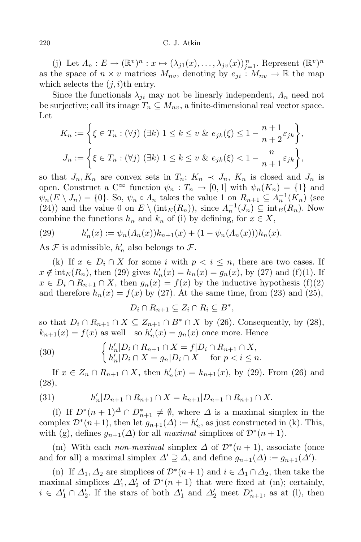#### 220 C. J. Atkin

(j) Let  $\Lambda_n: E \to (\mathbb{R}^v)^n : x \mapsto (\lambda_{j1}(x), \ldots, \lambda_{jv}(x))_{j=1}^n$ . Represent  $(\mathbb{R}^v)^n$ as the space of  $n \times v$  matrices  $M_{nv}$ , denoting by  $e_{ji}: M_{nv} \to \mathbb{R}$  the map which selects the  $(j,i)$ <sup>th</sup> entry.

Since the functionals  $\lambda_{ji}$  may not be linearly independent,  $\Lambda_n$  need not be surjective; call its image  $T_n \subseteq M_{nv}$ , a finite-dimensional real vector space. Let

$$
K_n := \left\{ \xi \in T_n : (\forall j) \ (\exists k) \ 1 \le k \le v \ \& \ e_{jk}(\xi) \le 1 - \frac{n+1}{n+2} \varepsilon_{jk} \right\},\,
$$
  

$$
J_n := \left\{ \xi \in T_n : (\forall j) \ (\exists k) \ 1 \le k \le v \ \& \ e_{jk}(\xi) < 1 - \frac{n}{n+1} \varepsilon_{jk} \right\},\,
$$

so that  $J_n, K_n$  are convex sets in  $T_n$ ;  $K_n \prec J_n$ ,  $K_n$  is closed and  $J_n$  is open. Construct a  $C^{\infty}$  function  $\psi_n : T_n \to [0,1]$  with  $\psi_n(K_n) = \{1\}$  and  $\psi_n(E \setminus J_n) = \{0\}$ . So,  $\psi_n \circ \Lambda_n$  takes the value 1 on  $R_{n+1} \subseteq \Lambda_n^{-1}(K_n)$  (see (24)) and the value 0 on  $E \setminus (\text{int}_E(R_n))$ , since  $\Lambda_n^{-1}(J_n) \subseteq \text{int}_E(R_n)$ . Now combine the functions  $h_n$  and  $k_n$  of (i) by defining, for  $x \in X$ ,

(29) 
$$
h'_n(x) := \psi_n(\Lambda_n(x))k_{n+1}(x) + (1 - \psi_n(\Lambda_n(x)))h_n(x).
$$

As  $\mathcal F$  is admissible,  $h'_n$  also belongs to  $\mathcal F$ .

(k) If  $x \in D_i \cap X$  for some *i* with  $p < i \leq n$ , there are two cases. If  $x \notin \text{int}_{E}(R_{n})$ , then (29) gives  $h'_{n}(x) = h_{n}(x) = g_{n}(x)$ , by (27) and (f)(1). If  $x \in D_i \cap R_{n+1} \cap X$ , then  $g_n(x) = f(x)$  by the inductive hypothesis (f)(2) and therefore  $h_n(x) = f(x)$  by (27). At the same time, from (23) and (25),

$$
D_i \cap R_{n+1} \subseteq Z_i \cap R_i \subseteq B^*,
$$

so that  $D_i \cap R_{n+1} \cap X \subseteq Z_{n+1} \cap B^* \cap X$  by (26). Consequently, by (28),  $k_{n+1}(x) = f(x)$  as well—so  $h'_n(x) = g_n(x)$  once more. Hence

(30) 
$$
\begin{cases} h'_n|D_i \cap R_{n+1} \cap X = f|D_i \cap R_{n+1} \cap X, \\ h'_n|D_i \cap X = g_n|D_i \cap X \quad \text{for } p < i \leq n. \end{cases}
$$

If  $x \in Z_n \cap R_{n+1} \cap X$ , then  $h'_n(x) = k_{n+1}(x)$ , by (29). From (26) and (28),

(31) 
$$
h'_n|D_{n+1} \cap R_{n+1} \cap X = k_{n+1}|D_{n+1} \cap R_{n+1} \cap X.
$$

(1) If  $D^*(n+1)^{\Delta} \cap D_{n+1}^* \neq \emptyset$ , where  $\Delta$  is a maximal simplex in the complex  $\mathcal{D}^*(n+1)$ , then let  $g_{n+1}(\Delta) := h'_n$ , as just constructed in (k). This, with (g), defines  $g_{n+1}(\Delta)$  for all *maximal* simplices of  $\mathcal{D}^*(n+1)$ .

(m) With each *non-maximal* simplex  $\Delta$  of  $\mathcal{D}^*(n+1)$ , associate (once and for all) a maximal simplex  $\Delta' \supseteq \Delta$ , and define  $g_{n+1}(\Delta) := g_{n+1}(\Delta')$ .

(n) If  $\Delta_1, \Delta_2$  are simplices of  $\mathcal{D}^*(n+1)$  and  $i \in \Delta_1 \cap \Delta_2$ , then take the maximal simplices  $\Delta'_1, \Delta'_2$  of  $\mathcal{D}^*(n+1)$  that were fixed at (m); certainly,  $i \in \Delta'_1 \cap \Delta'_2$ . If the stars of both  $\Delta'_1$  and  $\Delta'_2$  meet  $D_{n+1}^*$ , as at (l), then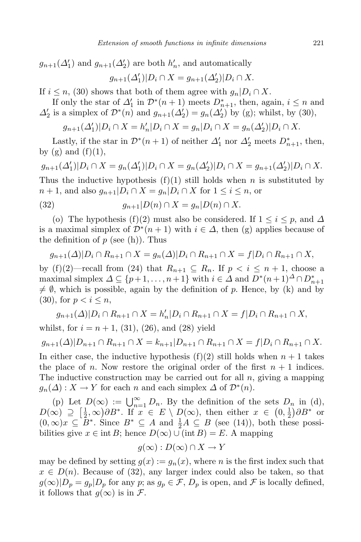$g_{n+1}(\Delta_1')$  and  $g_{n+1}(\Delta_2')$  are both  $h'_n$ , and automatically  $g_{n+1}(\Delta_1')|D_i \cap X = g_{n+1}(\Delta_2')|D_i \cap X$ .

If  $i \leq n$ , (30) shows that both of them agree with  $g_n|D_i \cap X$ .

If only the star of  $\Delta'_{1}$  in  $\mathcal{D}^{*}(n+1)$  meets  $D^{*}_{n+1}$ , then, again,  $i \leq n$  and  $\Delta'_{2}$  is a simplex of  $\mathcal{D}^{*}(n)$  and  $g_{n+1}(\Delta'_{2}) = g_{n}(\Delta'_{2})$  by (g); whilst, by (30),

$$
g_{n+1}(\Delta_1')|D_i \cap X = h'_n|D_i \cap X = g_n|D_i \cap X = g_n(\Delta_2')|D_i \cap X.
$$

Lastly, if the star in  $\mathcal{D}^*(n+1)$  of neither  $\Delta'_1$  nor  $\Delta'_2$  meets  $D_{n+1}^*$ , then, by  $(g)$  and  $(f)(1)$ ,

 $g_{n+1}(\Delta_1')|D_i \cap X = g_n(\Delta_1')|D_i \cap X = g_n(\Delta_2')|D_i \cap X = g_{n+1}(\Delta_2')|D_i \cap X.$ Thus the inductive hypothesis  $(f)(1)$  still holds when *n* is substituted by  $n + 1$ , and also  $g_{n+1} | D_i \cap X = g_n | D_i \cap X$  for  $1 \leq i \leq n$ , or

$$
(32) \t\t g_{n+1}|D(n) \cap X = g_n|D(n) \cap X.
$$

(o) The hypothesis (f)(2) must also be considered. If  $1 \leq i \leq p$ , and  $\Delta$ is a maximal simplex of  $\mathcal{D}^*(n+1)$  with  $i \in \Delta$ , then (g) applies because of the definition of  $p$  (see (h)). Thus

$$
g_{n+1}(\Delta)|D_i \cap R_{n+1} \cap X = g_n(\Delta)|D_i \cap R_{n+1} \cap X = f|D_i \cap R_{n+1} \cap X,
$$

by (f)(2)—recall from (24) that  $R_{n+1} \subseteq R_n$ . If  $p < i \leq n+1$ , choose a maximal simplex  $\Delta \subseteq \{p+1,\ldots,n+1\}$  with  $i \in \Delta$  and  $D^*(n+1) \Delta \cap D_{n+1}^*$  $\neq \emptyset$ , which is possible, again by the definition of *p*. Hence, by (k) and by  $(30)$ , for  $p < i \leq n$ ,

$$
g_{n+1}(\Delta)|D_i \cap R_{n+1} \cap X = h'_n|D_i \cap R_{n+1} \cap X = f|D_i \cap R_{n+1} \cap X,
$$

whilst, for  $i = n + 1$ , (31), (26), and (28) yield

$$
g_{n+1}(\Delta)|D_{n+1}\cap R_{n+1}\cap X=k_{n+1}|D_{n+1}\cap R_{n+1}\cap X=f|D_i\cap R_{n+1}\cap X.
$$

In either case, the inductive hypothesis  $(f)(2)$  still holds when  $n + 1$  takes the place of *n*. Now restore the original order of the first  $n + 1$  indices. The inductive construction may be carried out for all *n*, giving a mapping  $g_n(\Delta) : X \to Y$  for each *n* and each simplex  $\Delta$  of  $\mathcal{D}^*(n)$ .

(p) Let  $D(\infty) := \bigcup_{n=1}^{\infty} D_n$ . By the definition of the sets  $D_n$  in (d),  $D(\infty) \supseteq \left[\frac{1}{2}\right]$  $(\frac{1}{2}, \infty) \partial B^*$ . If  $x \in E \setminus D(\infty)$ , then either  $x \in (0, \frac{1}{2})$  $\frac{1}{2}$ ) $\partial B^*$  or  $(0, \infty)x \subseteq B^*$ . Since  $B^* \subseteq A$  and  $\frac{1}{2}A \subseteq B$  (see (14)), both these possibilities give  $x \in \text{int } B$ ; hence  $D(\infty) \cup (\text{int } B) = E$ . A mapping

$$
g(\infty): D(\infty) \cap X \to Y
$$

may be defined by setting  $g(x) := g_n(x)$ , where *n* is the first index such that  $x \in D(n)$ . Because of (32), any larger index could also be taken, so that  $g(\infty)|D_p = g_p|D_p$  for any *p*; as  $g_p \in \mathcal{F}$ ,  $D_p$  is open, and  $\mathcal{F}$  is locally defined, it follows that  $q(\infty)$  is in  $\mathcal{F}$ .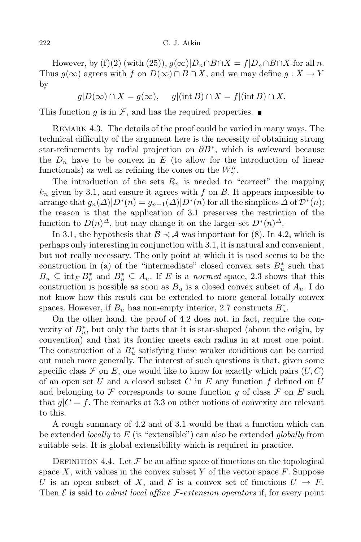However, by (f)(2) (with (25)),  $g(\infty)|D_n \cap B \cap X = f|D_n \cap B \cap X$  for all *n*. Thus  $g(\infty)$  agrees with *f* on  $D(\infty) \cap B \cap X$ , and we may define  $g: X \to Y$ by

 $g|D(\infty) \cap X = g(\infty)$ ,  $g|(\text{int }B) \cap X = f|(\text{int }B) \cap X$ .

This function *g* is in  $\mathcal{F}$ , and has the required properties.

REMARK 4.3. The details of the proof could be varied in many ways. The technical difficulty of the argument here is the necessity of obtaining strong star-refinements by radial projection on *∂B<sup>∗</sup>* , which is awkward because the  $D_n$  have to be convex in  $E$  (to allow for the introduction of linear functionals) as well as refining the cones on the  $W''_{\gamma}$ .

The introduction of the sets  $R_n$  is needed to "correct" the mapping *k<sup>n</sup>* given by 3.1, and ensure it agrees with *f* on *B*. It appears impossible to arrange that  $g_n(\Delta)|D^*(n) = g_{n+1}(\Delta)|D^*(n)$  for all the simplices  $\Delta$  of  $D^*(n)$ ; the reason is that the application of 3.1 preserves the restriction of the function to  $D(n)^\Delta$ , but may change it on the larger set  $D^*(n)^\Delta$ .

In 3.1, the hypothesis that  $\mathcal{B} \prec \mathcal{A}$  was important for (8). In 4.2, which is perhaps only interesting in conjunction with 3.1, it is natural and convenient, but not really necessary. The only point at which it is used seems to be the construction in (a) of the "intermediate" closed convex sets  $B^*_{u}$  such that  $B_u \subseteq \text{int}_E B_u^*$  and  $B_u^* \subseteq A_u$ . If *E* is a *normed* space, 2.3 shows that this construction is possible as soon as  $B_u$  is a closed convex subset of  $A_u$ . I do not know how this result can be extended to more general locally convex spaces. However, if  $B_u$  has non-empty interior, 2.7 constructs  $B_u^*$ .

On the other hand, the proof of 4.2 does not, in fact, require the convexity of  $B^*_{u}$ , but only the facts that it is star-shaped (about the origin, by convention) and that its frontier meets each radius in at most one point. The construction of a  $B^*_{u}$  satisfying these weaker conditions can be carried out much more generally. The interest of such questions is that, given some specific class  $\mathcal F$  on  $E$ , one would like to know for exactly which pairs  $(U, C)$ of an open set *U* and a closed subset *C* in *E* any function *f* defined on *U* and belonging to  $\mathcal F$  corresponds to some function q of class  $\mathcal F$  on E such that  $g|C = f$ . The remarks at 3.3 on other notions of convexity are relevant to this.

A rough summary of 4.2 and of 3.1 would be that a function which can be extended *locally* to *E* (is "extensible") can also be extended *globally* from suitable sets. It is global extensibility which is required in practice.

DEFINITION 4.4. Let  $\mathcal F$  be an affine space of functions on the topological space  $X$ , with values in the convex subset  $Y$  of the vector space  $F$ . Suppose *U* is an open subset of *X*, and  $\mathcal{E}$  is a convex set of functions  $U \to F$ . Then  $\mathcal E$  is said to *admit local affine*  $\mathcal F$ -*extension operators* if, for every point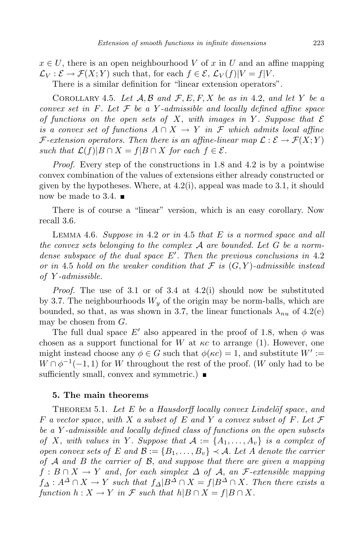$x \in U$ , there is an open neighbourhood *V* of *x* in *U* and an affine mapping  $\mathcal{L}_V : \mathcal{E} \to \mathcal{F}(X;Y)$  such that, for each  $f \in \mathcal{E}$ ,  $\mathcal{L}_V(f)|V = f|V$ .

There is a similar definition for "linear extension operators".

COROLLARY 4.5. Let  $A, B$  and  $F, E, F, X$  be as in 4.2, and let Y be a *convex set in F. Let F be a Y -admissible and locally defined affine space of* functions on the open sets of X, with *images* in Y. Suppose that  $\mathcal E$ *is a convex set of functions*  $A \cap X \to Y$  *in*  $\mathcal F$  *which admits local affine F*-extension operators. Then there is an affine-linear map  $\mathcal{L}: \mathcal{E} \to \mathcal{F}(X;Y)$ *such that*  $\mathcal{L}(f)|B \cap X = f|B \cap X$  *for each*  $f \in \mathcal{E}$ *.* 

*Proof.* Every step of the constructions in 1.8 and 4.2 is by a pointwise convex combination of the values of extensions either already constructed or given by the hypotheses. Where, at 4.2(i), appeal was made to 3.1, it should now be made to 3.4.  $\blacksquare$ 

There is of course a "linear" version, which is an easy corollary. Now recall 3.6.

Lemma 4.6. *Suppose in* 4*.*2 *or in* 4*.*5 *that E is a normed space and all the convex sets belonging to the complex A are bounded. Let G be a normdense subspace of the dual space E<sup>0</sup> . Then the previous conclusions in* 4*.*2 *or* in 4.5 *hold on* the weaker condition that  $\mathcal F$  is  $(G, Y)$ -admissible instead *of Y -admissible.*

*Proof.* The use of 3.1 or of 3.4 at 4.2(i) should now be substituted by 3.7. The neighbourhoods  $W_y$  of the origin may be norm-balls, which are bounded, so that, as was shown in 3.7, the linear functionals  $\lambda_{nn}$  of 4.2(e) may be chosen from *G*.

The full dual space  $E'$  also appeared in the proof of 1.8, when  $\phi$  was chosen as a support functional for *W* at  $\kappa c$  to arrange (1). However, one might instead choose any  $\phi \in G$  such that  $\phi(\kappa c) = 1$ , and substitute  $W' :=$  $W \cap \phi^{-1}(-1,1)$  for *W* throughout the rest of the proof. (*W* only had to be sufficiently small, convex and symmetric.)  $\blacksquare$ 

### **5. The main theorems**

Theorem 5.1. *Let E be a Hausdorff locally convex Lindel¨of space*, *and F a vector space*, *with X a subset of E and Y a convex subset of F. Let F be a Y -admissible and locally defined class of functions on the open subsets* of X, with values in Y. Suppose that  $A := \{A_1, \ldots, A_v\}$  is a complex of open convex sets of E and  $\mathcal{B} := \{B_1, \ldots, B_v\} \prec \mathcal{A}$ . Let A denote the carrier *of A and B the carrier of B*, *and suppose that there are given a mapping*  $f : B \cap X \to Y$  *and, for each simplex*  $\Delta$  *of*  $\mathcal{A}$ *, an*  $\mathcal{F}$ *-extensible mapping*  $f_A: A^{\Delta} \cap X \to Y$  such that  $f_A|B^{\Delta} \cap X = f|B^{\Delta} \cap X$ . Then there exists a *function*  $h: X \to Y$  *in*  $\mathcal F$  *such that*  $h|B \cap X = f|B \cap X$ *.*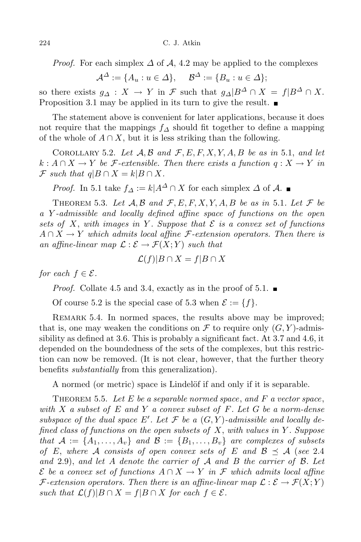*Proof.* For each simplex  $\Delta$  of  $\mathcal{A}$ , 4.2 may be applied to the complexes

$$
\mathcal{A}^{\Delta} := \{ A_u : u \in \Delta \}, \quad \mathcal{B}^{\Delta} := \{ B_u : u \in \Delta \};
$$

so there exists  $g_A : X \to Y$  in  $\mathcal F$  such that  $g_A | B^{\Delta} \cap X = f | B^{\Delta} \cap X$ . Proposition 3.1 may be applied in its turn to give the result.

The statement above is convenient for later applications, because it does not require that the mappings *f<sup>∆</sup>* should fit together to define a mapping of the whole of  $A \cap X$ , but it is less striking than the following.

COROLLARY 5.2. Let  $A, B$  and  $F, E, F, X, Y, A, B$  be as in 5.1, and let  $k: A \cap X \to Y$  *be F*-extensible. Then there exists a function  $q: X \to Y$  in  $\mathcal{F}$  *such that*  $q|B \cap X = k|B \cap X$ .

*Proof.* In 5.1 take  $f_A := k | A^{\Delta} \cap X$  for each simplex  $\Delta$  of  $\mathcal{A}$ . ■

THEOREM 5.3. Let  $A, B$  and  $F, E, F, X, Y, A, B$  be as in 5.1. Let  $F$  be *a Y -admissible and locally defined affine space of functions on the open sets of X*, *with images in Y . Suppose that E is a convex set of functions*  $A \cap X \to Y$  *which admits local affine F*-extension *operators.* Then there is *an affine-linear map*  $\mathcal{L}: \mathcal{E} \to \mathcal{F}(X;Y)$  *such that* 

$$
\mathcal{L}(f)|B \cap X = f|B \cap X
$$

*for each*  $f \in \mathcal{E}$ *.* 

*Proof.* Collate 4.5 and 3.4, exactly as in the proof of 5.1.  $\blacksquare$ 

Of course 5.2 is the special case of 5.3 when  $\mathcal{E} := \{f\}.$ 

REMARK 5.4. In normed spaces, the results above may be improved; that is, one may weaken the conditions on  $\mathcal F$  to require only  $(G, Y)$ -admissibility as defined at 3.6. This is probably a significant fact. At 3.7 and 4.6, it depended on the boundedness of the sets of the complexes, but this restriction can now be removed. (It is not clear, however, that the further theory benefits *substantially* from this generalization).

A normed (or metric) space is Lindelöf if and only if it is separable.

Theorem 5.5. *Let E be a separable normed space*, *and F a vector space*, *with X a subset of E and Y a convex subset of F. Let G be a norm-dense subspace* of the *dual* space  $E'$ . Let  $\mathcal F$  be a  $(G, Y)$ -admissible and locally de*fined class of functions on the open subsets of X*, *with values in Y . Suppose* that  $A := \{A_1, \ldots, A_v\}$  and  $B := \{B_1, \ldots, B_v\}$  are complexes of subsets *of E*, where *A* consists of open convex sets of *E* and  $B \preceq A$  (see 2.4) *and* 2*.*9), *and let A denote the carrier of A and B the carrier of B. Let*  $\mathcal{E}$  *be a* convex set of functions  $A \cap X \to Y$  in  $\mathcal{F}$  which admits local affine *F*-extension operators. Then there is an affine-linear map  $\mathcal{L}: \mathcal{E} \to \mathcal{F}(X;Y)$ *such that*  $\mathcal{L}(f)|B \cap X = f|B \cap X$  *for each*  $f \in \mathcal{E}$ *.*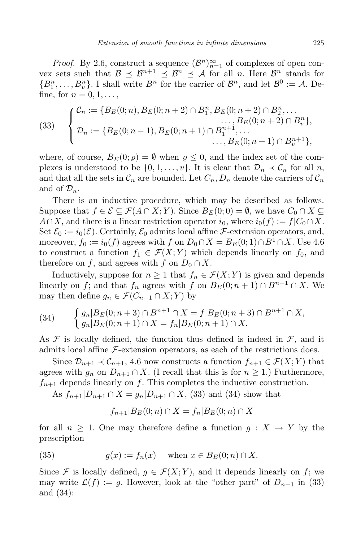*Proof.* By 2.6, construct a sequence  $(B^n)_{n=1}^{\infty}$  of complexes of open convex sets such that  $\mathcal{B} \preceq \mathcal{B}^{n+1} \preceq \mathcal{B}^n \preceq \mathcal{A}$  for all *n*. Here  $\mathcal{B}^n$  stands for  ${B^n_1, \ldots, B_v^n}$ . I shall write  $B^n$  for the carrier of  $B^n$ , and let  $B^0 := A$ . Define, for  $n = 0, 1, \ldots$ 

(33) 
$$
\begin{cases} C_n := \{B_E(0;n), B_E(0;n+2) \cap B_1^n, B_E(0;n+2) \cap B_2^n, \dots \\ D_n := \{B_E(0;n-1), B_E(0;n+1) \cap B_1^{n+1}, \dots \\ \dots, B_E(0;n+1) \cap B_v^{n+1}\}, \dots \\ \dots, B_E(0;n+1) \cap B_v^{n+1}\}, \end{cases}
$$

where, of course,  $B_F(0;\rho) = \emptyset$  when  $\rho \leq 0$ , and the index set of the complexes is understood to be  $\{0, 1, \ldots, v\}$ . It is clear that  $\mathcal{D}_n \prec \mathcal{C}_n$  for all *n*, and that all the sets in  $\mathcal{C}_n$  are bounded. Let  $C_n, D_n$  denote the carriers of  $\mathcal{C}_n$ and of  $\mathcal{D}_n$ .

There is an inductive procedure, which may be described as follows. Suppose that  $f \in \mathcal{E} \subseteq \mathcal{F}(A \cap X; Y)$ . Since  $B_F(0;0) = \emptyset$ , we have  $C_0 \cap X \subseteq$ *A*∩*X*, and there is a linear restriction operator *i*<sub>0</sub>, where  $i_0(f) := f|C_0 \cap X$ . Set  $\mathcal{E}_0 := i_0(\mathcal{E})$ . Certainly,  $\mathcal{E}_0$  admits local affine *F*-extension operators, and, moreover,  $f_0 := i_0(f)$  agrees with  $f$  on  $D_0 \cap X = B_E(0, 1) \cap B^1 \cap X$ . Use 4.6 to construct a function  $f_1 \in \mathcal{F}(X;Y)$  which depends linearly on  $f_0$ , and therefore on *f*, and agrees with *f* on  $D_0 \cap X$ .

Inductively, suppose for  $n \geq 1$  that  $f_n \in \mathcal{F}(X;Y)$  is given and depends linearly on *f*; and that  $f_n$  agrees with  $f$  on  $B_E(0; n + 1) \cap B^{n+1} \cap X$ . We may then define  $g_n \in \mathcal{F}(C_{n+1} \cap X; Y)$  by

(34) 
$$
\begin{cases} g_n|B_E(0;n+3) \cap B^{n+1} \cap X = f|B_E(0;n+3) \cap B^{n+1} \cap X, \\ g_n|B_E(0;n+1) \cap X = f_n|B_E(0;n+1) \cap X. \end{cases}
$$

As  $\mathcal F$  is locally defined, the function thus defined is indeed in  $\mathcal F$ , and it admits local affine *F*-extension operators, as each of the restrictions does.

Since  $\mathcal{D}_{n+1} \prec \mathcal{C}_{n+1}$ , 4.6 now constructs a function  $f_{n+1} \in \mathcal{F}(X;Y)$  that agrees with  $g_n$  on  $D_{n+1} \cap X$ . (I recall that this is for  $n \geq 1$ .) Furthermore,  $f_{n+1}$  depends linearly on  $f$ . This completes the inductive construction.

As  $f_{n+1}|D_{n+1} \cap X = g_n|D_{n+1} \cap X$ , (33) and (34) show that

$$
f_{n+1}|B_E(0;n) \cap X = f_n|B_E(0;n) \cap X
$$

for all  $n \geq 1$ . One may therefore define a function  $g: X \to Y$  by the prescription

(35) 
$$
g(x) := f_n(x) \quad \text{when } x \in B_E(0; n) \cap X.
$$

Since *F* is locally defined,  $q \in \mathcal{F}(X; Y)$ , and it depends linearly on *f*; we may write  $\mathcal{L}(f) := g$ . However, look at the "other part" of  $D_{n+1}$  in (33) and (34):